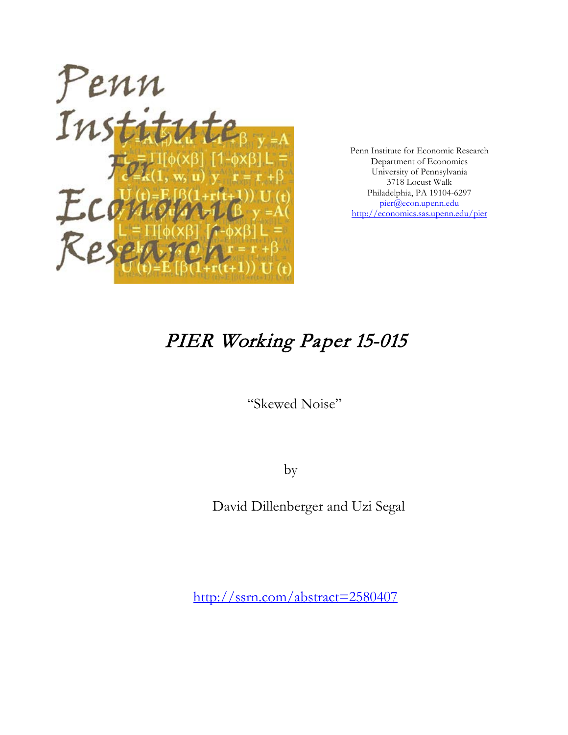

Penn Institute for Economic Research Department of Economics University of Pennsylvania 3718 Locust Walk Philadelphia, PA 19104-6297 [pier@econ.upenn.edu](mailto:pier@econ.upenn.edu) <http://economics.sas.upenn.edu/pier>

# PIER Working Paper 15-015

"Skewed Noise"

by

David Dillenberger and Uzi Segal

[http://ssrn.com/abstract=2](http://ssrn.com/abstract_id=)580407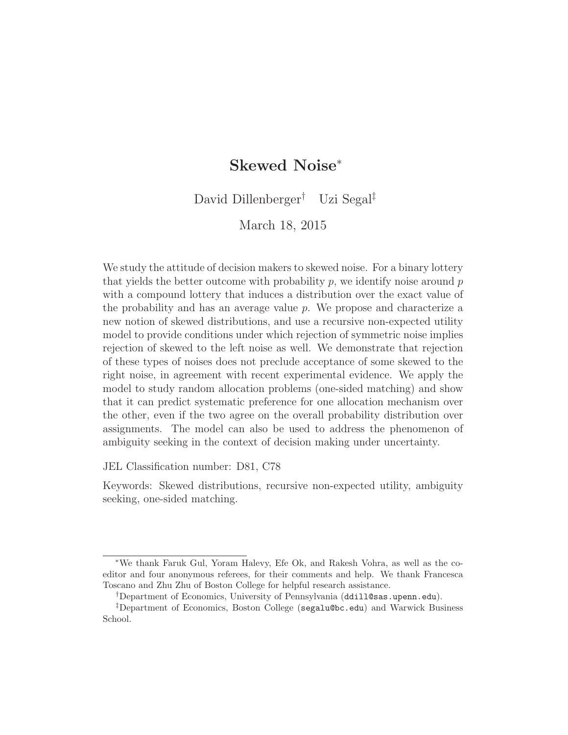# Skewed Noise<sup>∗</sup>

David Dillenberger† Uzi Segal‡

March 18, 2015

We study the attitude of decision makers to skewed noise. For a binary lottery that yields the better outcome with probability  $p$ , we identify noise around  $p$ with a compound lottery that induces a distribution over the exact value of the probability and has an average value  $p$ . We propose and characterize a new notion of skewed distributions, and use a recursive non-expected utility model to provide conditions under which rejection of symmetric noise implies rejection of skewed to the left noise as well. We demonstrate that rejection of these types of noises does not preclude acceptance of some skewed to the right noise, in agreement with recent experimental evidence. We apply the model to study random allocation problems (one-sided matching) and show that it can predict systematic preference for one allocation mechanism over the other, even if the two agree on the overall probability distribution over assignments. The model can also be used to address the phenomenon of ambiguity seeking in the context of decision making under uncertainty.

JEL Classification number: D81, C78

Keywords: Skewed distributions, recursive non-expected utility, ambiguity seeking, one-sided matching.

<sup>∗</sup>We thank Faruk Gul, Yoram Halevy, Efe Ok, and Rakesh Vohra, as well as the coeditor and four anonymous referees, for their comments and help. We thank Francesca Toscano and Zhu Zhu of Boston College for helpful research assistance.

<sup>†</sup>Department of Economics, University of Pennsylvania (ddill@sas.upenn.edu).

<sup>‡</sup>Department of Economics, Boston College (segalu@bc.edu) and Warwick Business School.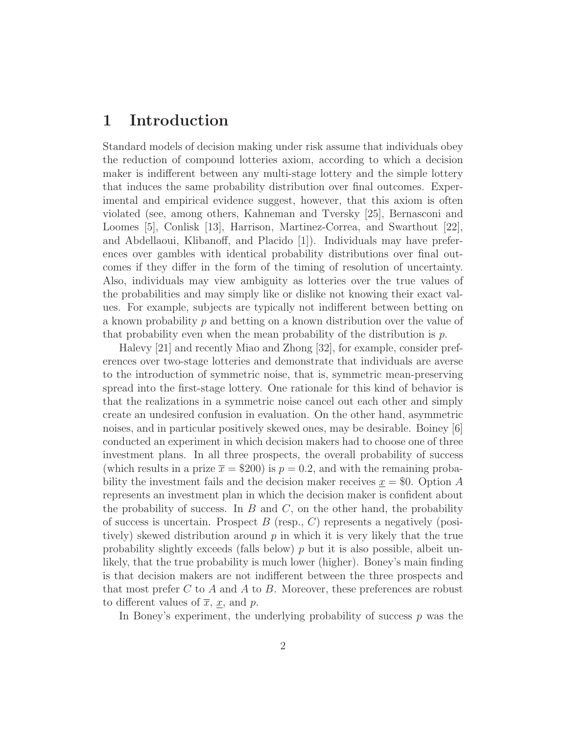# 1 Introduction

Standard models of decision making under risk assume that individuals obey the reduction of compound lotteries axiom, according to which a decision maker is indifferent between any multi-stage lottery and the simple lottery that induces the same probability distribution over final outcomes. Experimental and empirical evidence suggest, however, that this axiom is often violated (see, among others, Kahneman and Tversky [25], Bernasconi and Loomes [5], Conlisk [13], Harrison, Martinez-Correa, and Swarthout [22], and Abdellaoui, Klibanoff, and Placido [1]). Individuals may have preferences over gambles with identical probability distributions over final outcomes if they differ in the form of the timing of resolution of uncertainty. Also, individuals may view ambiguity as lotteries over the true values of the probabilities and may simply like or dislike not knowing their exact values. For example, subjects are typically not indifferent between betting on a known probability p and betting on a known distribution over the value of that probability even when the mean probability of the distribution is  $p$ .

Halevy [21] and recently Miao and Zhong [32], for example, consider preferences over two-stage lotteries and demonstrate that individuals are averse to the introduction of symmetric noise, that is, symmetric mean-preserving spread into the first-stage lottery. One rationale for this kind of behavior is that the realizations in a symmetric noise cancel out each other and simply create an undesired confusion in evaluation. On the other hand, asymmetric noises, and in particular positively skewed ones, may be desirable. Boiney [6] conducted an experiment in which decision makers had to choose one of three investment plans. In all three prospects, the overall probability of success (which results in a prize  $\bar{x} = $200$ ) is  $p = 0.2$ , and with the remaining probability the investment fails and the decision maker receives  $x = $0$ . Option A represents an investment plan in which the decision maker is confident about the probability of success. In  $B$  and  $C$ , on the other hand, the probability of success is uncertain. Prospect  $B$  (resp.,  $C$ ) represents a negatively (positively) skewed distribution around  $p$  in which it is very likely that the true probability slightly exceeds (falls below)  $p$  but it is also possible, albeit unlikely, that the true probability is much lower (higher). Boney's main finding is that decision makers are not indifferent between the three prospects and that most prefer C to A and A to B. Moreover, these preferences are robust to different values of  $\overline{x}$ ,  $\underline{x}$ , and  $\overline{p}$ .

In Boney's experiment, the underlying probability of success  $p$  was the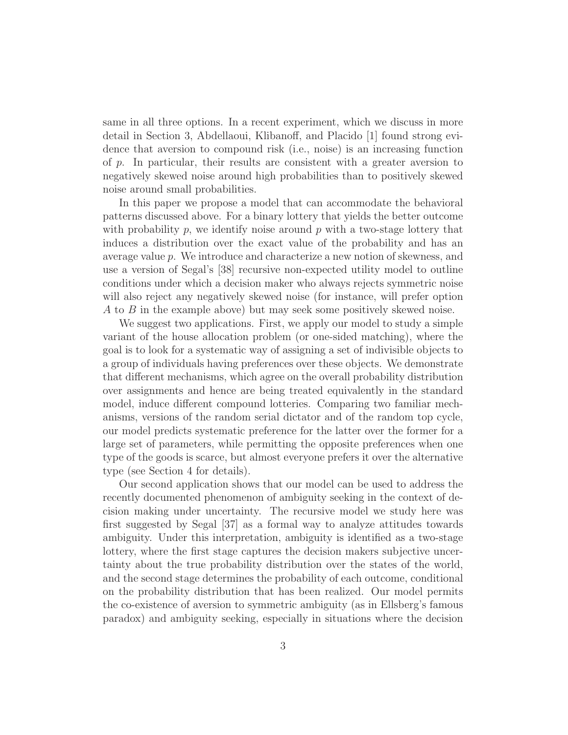same in all three options. In a recent experiment, which we discuss in more detail in Section 3, Abdellaoui, Klibanoff, and Placido [1] found strong evidence that aversion to compound risk (i.e., noise) is an increasing function of  $p$ . In particular, their results are consistent with a greater aversion to negatively skewed noise around high probabilities than to positively skewed noise around small probabilities.

In this paper we propose a model that can accommodate the behavioral patterns discussed above. For a binary lottery that yields the better outcome with probability  $p$ , we identify noise around  $p$  with a two-stage lottery that induces a distribution over the exact value of the probability and has an average value p. We introduce and characterize a new notion of skewness, and use a version of Segal's [38] recursive non-expected utility model to outline conditions under which a decision maker who always rejects symmetric noise will also reject any negatively skewed noise (for instance, will prefer option A to B in the example above) but may seek some positively skewed noise.

We suggest two applications. First, we apply our model to study a simple variant of the house allocation problem (or one-sided matching), where the goal is to look for a systematic way of assigning a set of indivisible objects to a group of individuals having preferences over these objects. We demonstrate that different mechanisms, which agree on the overall probability distribution over assignments and hence are being treated equivalently in the standard model, induce different compound lotteries. Comparing two familiar mechanisms, versions of the random serial dictator and of the random top cycle, our model predicts systematic preference for the latter over the former for a large set of parameters, while permitting the opposite preferences when one type of the goods is scarce, but almost everyone prefers it over the alternative type (see Section 4 for details).

Our second application shows that our model can be used to address the recently documented phenomenon of ambiguity seeking in the context of decision making under uncertainty. The recursive model we study here was first suggested by Segal [37] as a formal way to analyze attitudes towards ambiguity. Under this interpretation, ambiguity is identified as a two-stage lottery, where the first stage captures the decision makers subjective uncertainty about the true probability distribution over the states of the world, and the second stage determines the probability of each outcome, conditional on the probability distribution that has been realized. Our model permits the co-existence of aversion to symmetric ambiguity (as in Ellsberg's famous paradox) and ambiguity seeking, especially in situations where the decision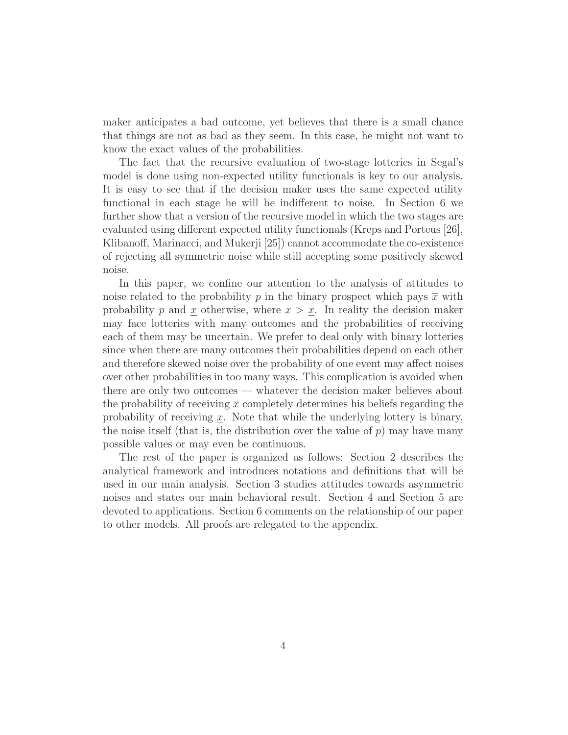maker anticipates a bad outcome, yet believes that there is a small chance that things are not as bad as they seem. In this case, he might not want to know the exact values of the probabilities.

The fact that the recursive evaluation of two-stage lotteries in Segal's model is done using non-expected utility functionals is key to our analysis. It is easy to see that if the decision maker uses the same expected utility functional in each stage he will be indifferent to noise. In Section 6 we further show that a version of the recursive model in which the two stages are evaluated using different expected utility functionals (Kreps and Porteus [26], Klibanoff, Marinacci, and Mukerji [25]) cannot accommodate the co-existence of rejecting all symmetric noise while still accepting some positively skewed noise.

In this paper, we confine our attention to the analysis of attitudes to noise related to the probability p in the binary prospect which pays  $\bar{x}$  with probability p and x otherwise, where  $\bar{x} > x$ . In reality the decision maker may face lotteries with many outcomes and the probabilities of receiving each of them may be uncertain. We prefer to deal only with binary lotteries since when there are many outcomes their probabilities depend on each other and therefore skewed noise over the probability of one event may affect noises over other probabilities in too many ways. This complication is avoided when there are only two outcomes — whatever the decision maker believes about the probability of receiving  $\bar{x}$  completely determines his beliefs regarding the probability of receiving  $\underline{x}$ . Note that while the underlying lottery is binary, the noise itself (that is, the distribution over the value of  $p$ ) may have many possible values or may even be continuous.

The rest of the paper is organized as follows: Section 2 describes the analytical framework and introduces notations and definitions that will be used in our main analysis. Section 3 studies attitudes towards asymmetric noises and states our main behavioral result. Section 4 and Section 5 are devoted to applications. Section 6 comments on the relationship of our paper to other models. All proofs are relegated to the appendix.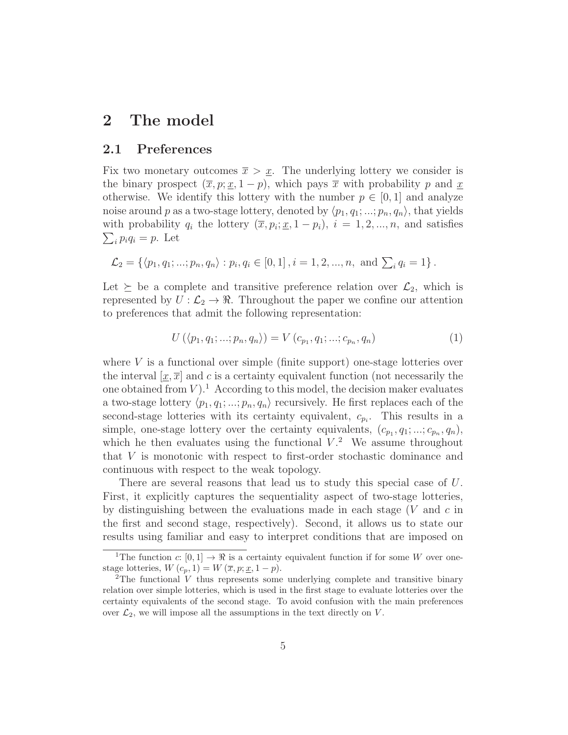# 2 The model

#### 2.1 Preferences

Fix two monetary outcomes  $\bar{x} > x$ . The underlying lottery we consider is the binary prospect  $(\bar{x}, p; x, 1-p)$ , which pays  $\bar{x}$  with probability p and x otherwise. We identify this lottery with the number  $p \in [0,1]$  and analyze noise around p as a two-stage lottery, denoted by  $\langle p_1, q_1; ...; p_n, q_n \rangle$ , that yields with probability  $q_i$  the lottery  $(\overline{x}, p_i; \underline{x}, 1-p_i), i = 1, 2, ..., n$ , and satisfies  $\sum_i p_i q_i = p$ . Let

$$
\mathcal{L}_2 = \left\{ \langle p_1, q_1; ...; p_n, q_n \rangle : p_i, q_i \in [0, 1], i = 1, 2, ..., n, \text{ and } \sum_i q_i = 1 \right\}.
$$

Let  $\succeq$  be a complete and transitive preference relation over  $\mathcal{L}_2$ , which is represented by  $U : \mathcal{L}_2 \to \mathbb{R}$ . Throughout the paper we confine our attention to preferences that admit the following representation:

$$
U(\langle p_1, q_1; ...; p_n, q_n \rangle) = V(c_{p_1}, q_1; ...; c_{p_n}, q_n)
$$
\n(1)

where  $V$  is a functional over simple (finite support) one-stage lotteries over the interval  $[x,\overline{x}]$  and c is a certainty equivalent function (not necessarily the one obtained from  $V$ ).<sup>1</sup> According to this model, the decision maker evaluates a two-stage lottery  $\langle p_1, q_1; ...; p_n, q_n \rangle$  recursively. He first replaces each of the second-stage lotteries with its certainty equivalent,  $c_{p_i}$ . This results in a simple, one-stage lottery over the certainty equivalents,  $(c_{p_1}, q_1; \ldots; c_{p_n}, q_n)$ , which he then evaluates using the functional  $V^2$ . We assume throughout that V is monotonic with respect to first-order stochastic dominance and continuous with respect to the weak topology.

There are several reasons that lead us to study this special case of U. First, it explicitly captures the sequentiality aspect of two-stage lotteries, by distinguishing between the evaluations made in each stage  $(V \text{ and } c \text{ in})$ the first and second stage, respectively). Second, it allows us to state our results using familiar and easy to interpret conditions that are imposed on

<sup>&</sup>lt;sup>1</sup>The function c:  $[0, 1] \rightarrow \Re$  is a certainty equivalent function if for some W over onestage lotteries,  $W(c_p, 1) = W(\overline{x}, p; \underline{x}, 1-p).$ 

<sup>&</sup>lt;sup>2</sup>The functional V thus represents some underlying complete and transitive binary relation over simple lotteries, which is used in the first stage to evaluate lotteries over the certainty equivalents of the second stage. To avoid confusion with the main preferences over  $\mathcal{L}_2$ , we will impose all the assumptions in the text directly on V.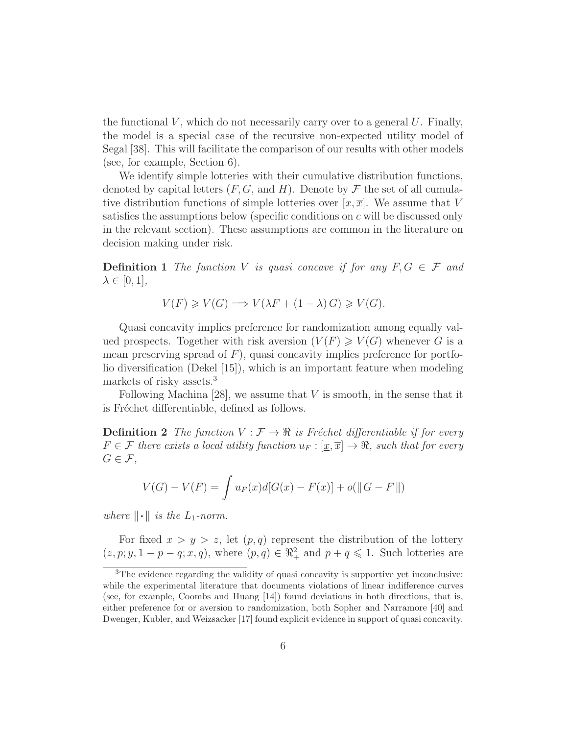the functional  $V$ , which do not necessarily carry over to a general  $U$ . Finally, the model is a special case of the recursive non-expected utility model of Segal [38]. This will facilitate the comparison of our results with other models (see, for example, Section 6).

We identify simple lotteries with their cumulative distribution functions, denoted by capital letters  $(F, G, \text{ and } H)$ . Denote by  $\mathcal F$  the set of all cumulative distribution functions of simple lotteries over  $[x, \overline{x}]$ . We assume that V satisfies the assumptions below (specific conditions on c will be discussed only in the relevant section). These assumptions are common in the literature on decision making under risk.

**Definition 1** The function V is quasi concave if for any  $F, G \in \mathcal{F}$  and  $\lambda \in [0,1],$ 

$$
V(F) \geq V(G) \Longrightarrow V(\lambda F + (1 - \lambda) G) \geq V(G).
$$

Quasi concavity implies preference for randomization among equally valued prospects. Together with risk aversion  $(V(F) \geq V(G)$  whenever G is a mean preserving spread of  $F$ ), quasi concavity implies preference for portfolio diversification (Dekel [15]), which is an important feature when modeling markets of risky assets.<sup>3</sup>

Following Machina [28], we assume that  $V$  is smooth, in the sense that it is Fréchet differentiable, defined as follows.

**Definition 2** The function  $V : \mathcal{F} \to \mathbb{R}$  is Fréchet differentiable if for every  $F \in \mathcal{F}$  there exists a local utility function  $u_F : [\underline{x}, \overline{x}] \to \Re$ , such that for every  $G \in \mathcal{F}$ ,

$$
V(G) - V(F) = \int u_F(x)d[G(x) - F(x)] + o(||G - F||)
$$

where  $\|\cdot\|$  is the  $L_1$ -norm.

For fixed  $x > y > z$ , let  $(p, q)$  represent the distribution of the lottery  $(z, p; y, 1-p-q; x, q)$ , where  $(p, q) \in \mathbb{R}^2_+$  and  $p+q \leq 1$ . Such lotteries are

<sup>3</sup>The evidence regarding the validity of quasi concavity is supportive yet inconclusive: while the experimental literature that documents violations of linear indifference curves (see, for example, Coombs and Huang [14]) found deviations in both directions, that is, either preference for or aversion to randomization, both Sopher and Narramore [40] and Dwenger, Kubler, and Weizsacker [17] found explicit evidence in support of quasi concavity.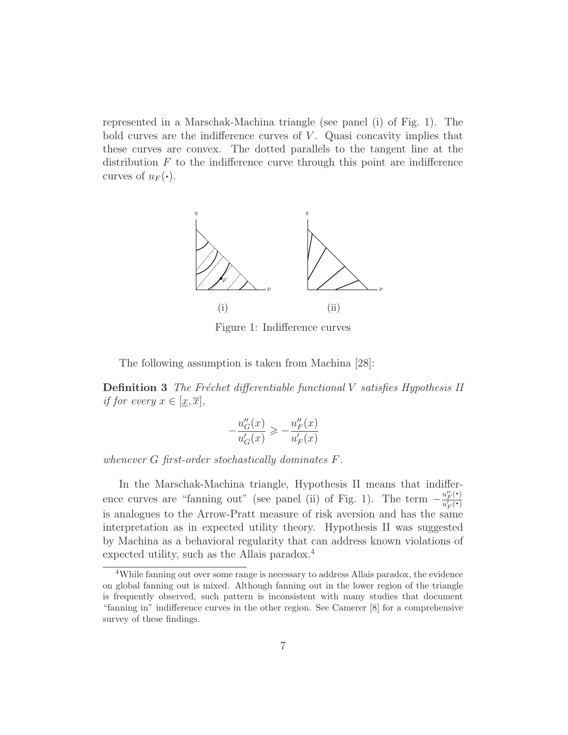represented in a Marschak-Machina triangle (see panel (i) of Fig. 1). The bold curves are the indifference curves of  $V$ . Quasi concavity implies that these curves are convex. The dotted parallels to the tangent line at the distribution  $F$  to the indifference curve through this point are indifference curves of  $u_F(\cdot)$ .



Figure 1: Indifference curves

The following assumption is taken from Machina [28]:

**Definition 3** The Fréchet differentiable functional V satisfies Hypothesis II if for every  $x \in [\underline{x}, \overline{x}],$ 

$$
-\frac{u_G''(x)}{u_G'(x)} \geqslant -\frac{u_F''(x)}{u_F'(x)}
$$

whenever G first-order stochastically dominates F.

In the Marschak-Machina triangle, Hypothesis II means that indifference curves are "fanning out" (see panel (ii) of Fig. 1). The term  $-\frac{u''_F(\cdot)}{u'(\cdot)}$  $\frac{u_F(\cdot)}{u_F'(\cdot)}$ is analogues to the Arrow-Pratt measure of risk aversion and has the same interpretation as in expected utility theory. Hypothesis II was suggested by Machina as a behavioral regularity that can address known violations of expected utility, such as the Allais paradox.<sup>4</sup>

<sup>&</sup>lt;sup>4</sup>While fanning out over some range is necessary to address Allais paradox, the evidence on global fanning out is mixed. Although fanning out in the lower region of the triangle is frequently observed, such pattern is inconsistent with many studies that document "fanning in" indifference curves in the other region. See Camerer [8] for a comprehensive survey of these findings.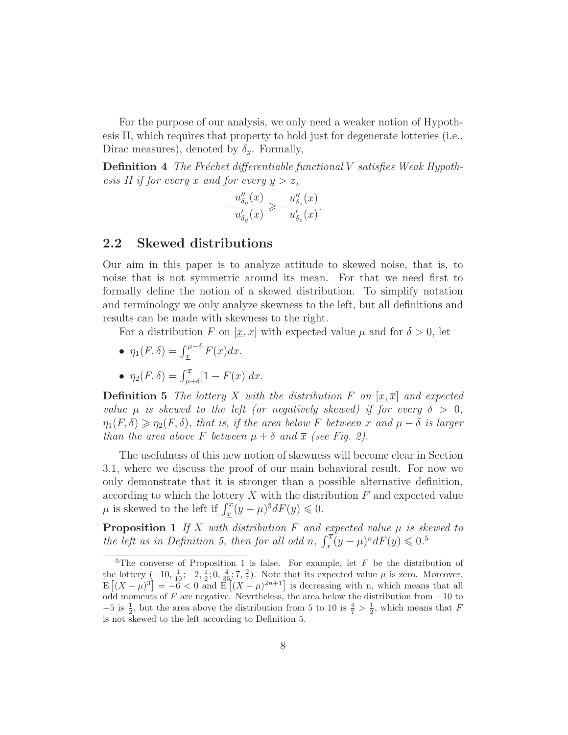For the purpose of our analysis, we only need a weaker notion of Hypothesis II, which requires that property to hold just for degenerate lotteries (i.e., Dirac measures), denoted by  $\delta_{\nu}$ . Formally,

**Definition 4** The Fréchet differentiable functional  $V$  satisfies Weak Hypothesis II if for every x and for every  $y > z$ ,

$$
-\frac{u_{\delta_y}''(x)}{u_{\delta_y}'(x)}\geqslant -\frac{u_{\delta_z}''(x)}{u_{\delta_z}'(x)}.
$$

#### 2.2 Skewed distributions

Our aim in this paper is to analyze attitude to skewed noise, that is, to noise that is not symmetric around its mean. For that we need first to formally define the notion of a skewed distribution. To simplify notation and terminology we only analyze skewness to the left, but all definitions and results can be made with skewness to the right.

For a distribution F on  $[\underline{x}, \overline{x}]$  with expected value  $\mu$  and for  $\delta > 0$ , let

- $\eta_1(F,\delta) = \int_{\underline{x}}^{\mu-\delta} F(x) dx.$
- $\eta_2(F,\delta) = \int_{\mu+\delta}^{\overline{x}} [1 F(x)] dx.$

**Definition 5** The lottery X with the distribution F on  $[x, \overline{x}]$  and expected value  $\mu$  is skewed to the left (or negatively skewed) if for every  $\delta > 0$ ,  $\eta_1(F,\delta) \geq \eta_2(F,\delta)$ , that is, if the area below F between x and  $\mu - \delta$  is larger than the area above F between  $\mu + \delta$  and  $\bar{x}$  (see Fig. 2).

The usefulness of this new notion of skewness will become clear in Section 3.1, where we discuss the proof of our main behavioral result. For now we only demonstrate that it is stronger than a possible alternative definition, according to which the lottery  $X$  with the distribution  $F$  and expected value  $\mu$  is skewed to the left if  $\int_{\underline{x}}^{\overline{x}} (y - \mu)^3 dF(y) \leq 0$ .

**Proposition 1** If X with distribution F and expected value  $\mu$  is skewed to the left as in Definition 5, then for all odd n,  $\int_x^{\overline{x}} (y - \mu)^n dF(y) \leq 0.5$ 

<sup>&</sup>lt;sup>5</sup>The converse of Proposition 1 is false. For example, let  $F$  be the distribution of the lottery  $(-10, \frac{1}{10}; -2, \frac{1}{2}; 0, \frac{4}{35}; 7, \frac{2}{7})$ . Note that its expected value  $\mu$  is zero. Moreover,  $E[(X-\mu)^3]=-6<0$  and  $E[(X-\mu)^{2n+1}]$  is decreasing with n, which means that all odd moments of  $F$  are negative. Nevrtheless, the area below the distribution from  $-10$  to  $-5$  is  $\frac{1}{2}$ , but the area above the distribution from 5 to 10 is  $\frac{4}{7} > \frac{1}{2}$ , which means that F is not skewed to the left according to Definition 5.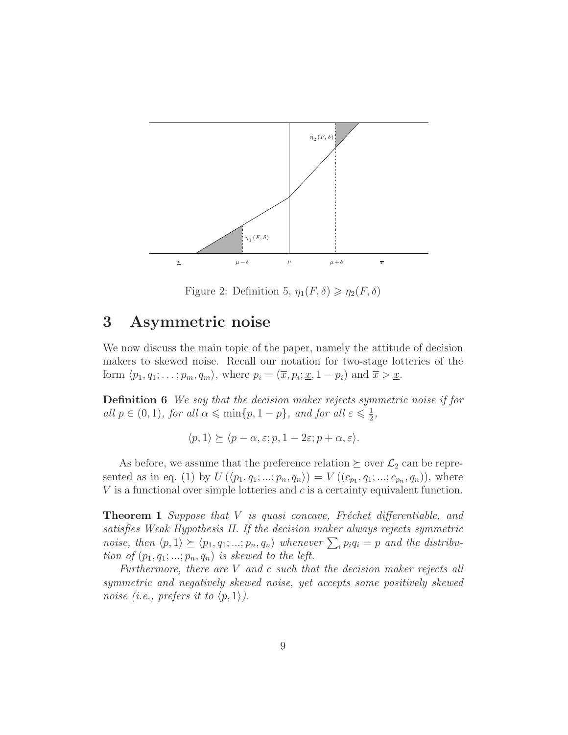

Figure 2: Definition 5,  $\eta_1(F,\delta) \geq \eta_2(F,\delta)$ 

### 3 Asymmetric noise

We now discuss the main topic of the paper, namely the attitude of decision makers to skewed noise. Recall our notation for two-stage lotteries of the form  $\langle p_1, q_1; \ldots; p_m, q_m \rangle$ , where  $p_i = (\overline{x}, p_i; \underline{x}, 1 - p_i)$  and  $\overline{x} > \underline{x}$ .

Definition 6 We say that the decision maker rejects symmetric noise if for all  $p \in (0, 1)$ , for all  $\alpha \leqslant \min\{p, 1-p\}$ , and for all  $\varepsilon \leqslant \frac{1}{2}$  $\frac{1}{2}$ ,

$$
\langle p, 1 \rangle \succeq \langle p - \alpha, \varepsilon; p, 1 - 2\varepsilon; p + \alpha, \varepsilon \rangle.
$$

As before, we assume that the preference relation  $\succeq$  over  $\mathcal{L}_2$  can be represented as in eq. (1) by  $U(\langle p_1, q_1; ...; p_n, q_n \rangle) = V((c_{p_1}, q_1; ...; c_{p_n}, q_n)),$  where  $V$  is a functional over simple lotteries and  $c$  is a certainty equivalent function.

**Theorem 1** Suppose that  $V$  is quasi concave, Fréchet differentiable, and satisfies Weak Hypothesis II. If the decision maker always rejects symmetric noise, then  $\langle p, 1 \rangle \succeq \langle p_1, q_1; ...; p_n, q_n \rangle$  whenever  $\sum_i p_i q_i = p$  and the distribution of  $(p_1, q_1; \ldots; p_n, q_n)$  is skewed to the left.

Furthermore, there are V and c such that the decision maker rejects all symmetric and negatively skewed noise, yet accepts some positively skewed noise (i.e., prefers it to  $\langle p, 1 \rangle$ ).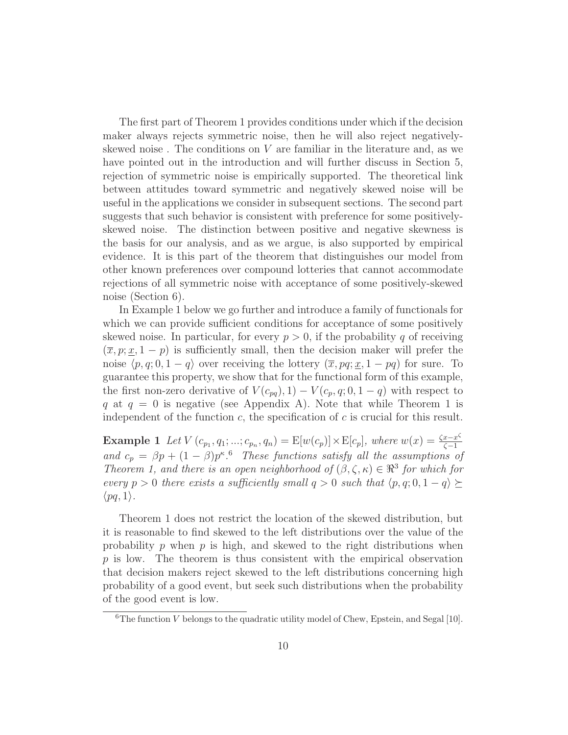The first part of Theorem 1 provides conditions under which if the decision maker always rejects symmetric noise, then he will also reject negativelyskewed noise. The conditions on  $V$  are familiar in the literature and, as we have pointed out in the introduction and will further discuss in Section 5, rejection of symmetric noise is empirically supported. The theoretical link between attitudes toward symmetric and negatively skewed noise will be useful in the applications we consider in subsequent sections. The second part suggests that such behavior is consistent with preference for some positivelyskewed noise. The distinction between positive and negative skewness is the basis for our analysis, and as we argue, is also supported by empirical evidence. It is this part of the theorem that distinguishes our model from other known preferences over compound lotteries that cannot accommodate rejections of all symmetric noise with acceptance of some positively-skewed noise (Section 6).

In Example 1 below we go further and introduce a family of functionals for which we can provide sufficient conditions for acceptance of some positively skewed noise. In particular, for every  $p > 0$ , if the probability q of receiving  $(\bar{x}, p; \underline{x}, 1-p)$  is sufficiently small, then the decision maker will prefer the noise  $\langle p, q; 0, 1 - q \rangle$  over receiving the lottery  $(\overline{x}, pq; x, 1 - pq)$  for sure. To guarantee this property, we show that for the functional form of this example, the first non-zero derivative of  $V(c_{pq}), 1) - V(c_p, q; 0, 1 - q)$  with respect to q at  $q = 0$  is negative (see Appendix A). Note that while Theorem 1 is independent of the function  $c$ , the specification of  $c$  is crucial for this result.

**Example 1** Let  $V(c_{p_1}, q_1; ...; c_{p_n}, q_n) = E[w(c_p)] \times E[c_p]$ , where  $w(x) = \frac{\zeta x - x^{\zeta}}{\zeta - 1}$ ζ−1 and  $c_p = \beta p + (1 - \beta)p^{\kappa}$ .<sup>6</sup> These functions satisfy all the assumptions of Theorem 1, and there is an open neighborhood of  $(\beta, \zeta, \kappa) \in \mathbb{R}^3$  for which for every  $p > 0$  there exists a sufficiently small  $q > 0$  such that  $\langle p, q, 0, 1 - q \rangle \succeq$  $\langle pq, 1\rangle$ .

Theorem 1 does not restrict the location of the skewed distribution, but it is reasonable to find skewed to the left distributions over the value of the probability  $p$  when  $p$  is high, and skewed to the right distributions when  $p$  is low. The theorem is thus consistent with the empirical observation that decision makers reject skewed to the left distributions concerning high probability of a good event, but seek such distributions when the probability of the good event is low.

 ${}^{6}$ The function V belongs to the quadratic utility model of Chew, Epstein, and Segal [10].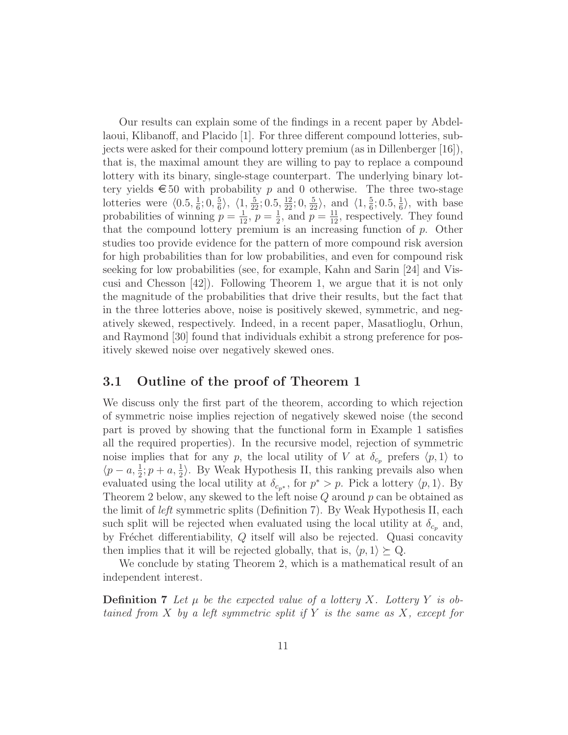Our results can explain some of the findings in a recent paper by Abdellaoui, Klibanoff, and Placido [1]. For three different compound lotteries, subjects were asked for their compound lottery premium (as in Dillenberger [16]), that is, the maximal amount they are willing to pay to replace a compound lottery with its binary, single-stage counterpart. The underlying binary lottery yields  $\epsilon$  50 with probability p and 0 otherwise. The three two-stage lotteries were  $\langle 0.5, \frac{1}{6} \rangle$  $\frac{1}{6}$ ; 0,  $\frac{5}{6}$  $\frac{5}{6}$ ,  $\langle 1, \frac{5}{22}$ ; 0.5,  $\frac{12}{22}$ ; 0,  $\frac{5}{22}$ , and  $\langle 1, \frac{5}{6}$  $\frac{5}{6}$ ; 0.5,  $\frac{1}{6}$  $\frac{1}{6}$ , with base probabilities of winning  $p = \frac{1}{12}, p = \frac{1}{2}$  $\frac{1}{2}$ , and  $\overline{p} = \frac{11}{12}$ , respectively. They found that the compound lottery premium is an increasing function of p. Other studies too provide evidence for the pattern of more compound risk aversion for high probabilities than for low probabilities, and even for compound risk seeking for low probabilities (see, for example, Kahn and Sarin [24] and Viscusi and Chesson [42]). Following Theorem 1, we argue that it is not only the magnitude of the probabilities that drive their results, but the fact that in the three lotteries above, noise is positively skewed, symmetric, and negatively skewed, respectively. Indeed, in a recent paper, Masatlioglu, Orhun, and Raymond [30] found that individuals exhibit a strong preference for positively skewed noise over negatively skewed ones.

#### 3.1 Outline of the proof of Theorem 1

We discuss only the first part of the theorem, according to which rejection of symmetric noise implies rejection of negatively skewed noise (the second part is proved by showing that the functional form in Example 1 satisfies all the required properties). In the recursive model, rejection of symmetric noise implies that for any p, the local utility of V at  $\delta_{c_p}$  prefers  $\langle p, 1 \rangle$  to  $\langle p - a, \frac{1}{2}; p + a, \frac{1}{2} \rangle$ . By Weak Hypothesis II, this ranking prevails also when evaluated using the local utility at  $\delta_{c_{p^*}}$ , for  $p^* > p$ . Pick a lottery  $\langle p, 1 \rangle$ . By Theorem 2 below, any skewed to the left noise  $Q$  around  $p$  can be obtained as the limit of left symmetric splits (Definition 7). By Weak Hypothesis II, each such split will be rejected when evaluated using the local utility at  $\delta_{c_p}$  and, by Fréchet differentiability,  $Q$  itself will also be rejected. Quasi concavity then implies that it will be rejected globally, that is,  $\langle p, 1 \rangle \succeq Q$ .

We conclude by stating Theorem 2, which is a mathematical result of an independent interest.

**Definition 7** Let  $\mu$  be the expected value of a lottery X. Lottery Y is obtained from X by a left symmetric split if Y is the same as X, except for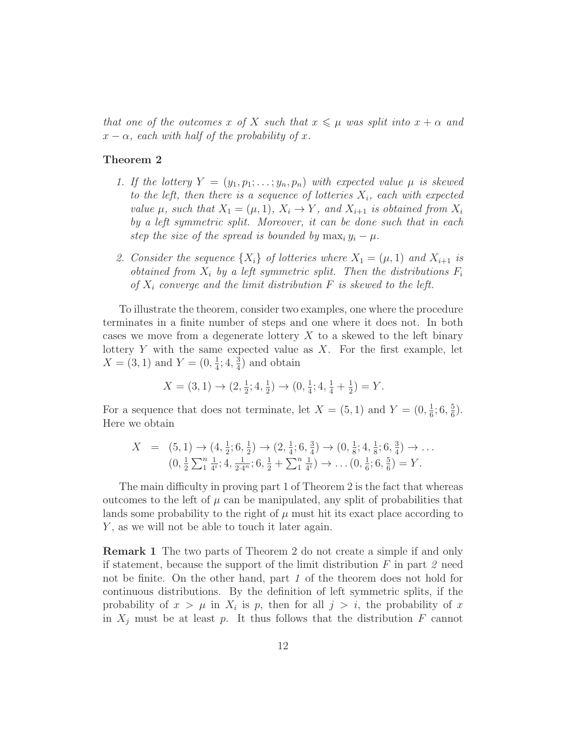that one of the outcomes x of X such that  $x \leq \mu$  was split into  $x + \alpha$  and  $x - \alpha$ , each with half of the probability of x.

#### Theorem 2

- 1. If the lottery  $Y = (y_1, p_1; \ldots; y_n, p_n)$  with expected value  $\mu$  is skewed to the left, then there is a sequence of lotteries  $X_i$ , each with expected value  $\mu$ , such that  $X_1 = (\mu, 1), X_i \to Y$ , and  $X_{i+1}$  is obtained from  $X_i$ by a left symmetric split. Moreover, it can be done such that in each step the size of the spread is bounded by  $\max_i y_i - \mu$ .
- 2. Consider the sequence  $\{X_i\}$  of lotteries where  $X_1 = (\mu, 1)$  and  $X_{i+1}$  is obtained from  $X_i$  by a left symmetric split. Then the distributions  $F_i$ of  $X_i$  converge and the limit distribution  $F$  is skewed to the left.

To illustrate the theorem, consider two examples, one where the procedure terminates in a finite number of steps and one where it does not. In both cases we move from a degenerate lottery  $X$  to a skewed to the left binary lottery  $Y$  with the same expected value as  $X$ . For the first example, let  $X = (3, 1)$  and  $Y = (0, \frac{1}{4})$  $\frac{1}{4}$ ; 4,  $\frac{3}{4}$  $\frac{3}{4}$ ) and obtain

$$
X = (3, 1) \rightarrow (2, \frac{1}{2}; 4, \frac{1}{2}) \rightarrow (0, \frac{1}{4}; 4, \frac{1}{4} + \frac{1}{2}) = Y.
$$

For a sequence that does not terminate, let  $X = (5,1)$  and  $Y = (0,\frac{1}{6})$  $\frac{1}{6}$ ; 6,  $\frac{5}{6}$  $\frac{5}{6}$ . Here we obtain

$$
X = (5,1) \rightarrow (4,\frac{1}{2};6,\frac{1}{2}) \rightarrow (2,\frac{1}{4};6,\frac{3}{4}) \rightarrow (0,\frac{1}{8};4,\frac{1}{8};6,\frac{3}{4}) \rightarrow \dots
$$
  

$$
(0,\frac{1}{2}\sum_{1}^{n}\frac{1}{4^{i}};4,\frac{1}{2\cdot 4^{n}};6,\frac{1}{2}+\sum_{1}^{n}\frac{1}{4^{i}}) \rightarrow \dots (0,\frac{1}{6};6,\frac{5}{6}) = Y.
$$

The main difficulty in proving part 1 of Theorem 2 is the fact that whereas outcomes to the left of  $\mu$  can be manipulated, any split of probabilities that lands some probability to the right of  $\mu$  must hit its exact place according to  $Y$ , as we will not be able to touch it later again.

Remark 1 The two parts of Theorem 2 do not create a simple if and only if statement, because the support of the limit distribution  $F$  in part 2 need not be finite. On the other hand, part 1 of the theorem does not hold for continuous distributions. By the definition of left symmetric splits, if the probability of  $x > \mu$  in  $X_i$  is p, then for all  $j > i$ , the probability of x in  $X_i$  must be at least p. It thus follows that the distribution F cannot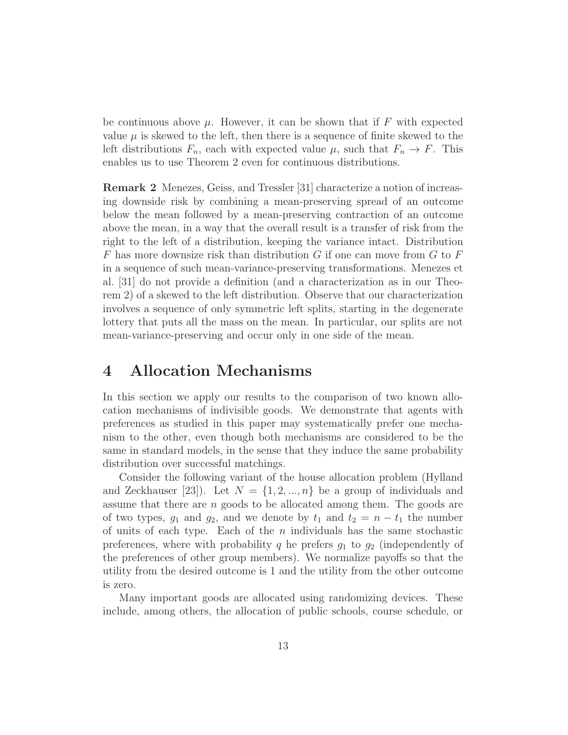be continuous above  $\mu$ . However, it can be shown that if F with expected value  $\mu$  is skewed to the left, then there is a sequence of finite skewed to the left distributions  $F_n$ , each with expected value  $\mu$ , such that  $F_n \to F$ . This enables us to use Theorem 2 even for continuous distributions.

Remark 2 Menezes, Geiss, and Tressler [31] characterize a notion of increasing downside risk by combining a mean-preserving spread of an outcome below the mean followed by a mean-preserving contraction of an outcome above the mean, in a way that the overall result is a transfer of risk from the right to the left of a distribution, keeping the variance intact. Distribution  $F$  has more downsize risk than distribution  $G$  if one can move from  $G$  to  $F$ in a sequence of such mean-variance-preserving transformations. Menezes et al. [31] do not provide a definition (and a characterization as in our Theorem 2) of a skewed to the left distribution. Observe that our characterization involves a sequence of only symmetric left splits, starting in the degenerate lottery that puts all the mass on the mean. In particular, our splits are not mean-variance-preserving and occur only in one side of the mean.

### 4 Allocation Mechanisms

In this section we apply our results to the comparison of two known allocation mechanisms of indivisible goods. We demonstrate that agents with preferences as studied in this paper may systematically prefer one mechanism to the other, even though both mechanisms are considered to be the same in standard models, in the sense that they induce the same probability distribution over successful matchings.

Consider the following variant of the house allocation problem (Hylland and Zeckhauser [23]). Let  $N = \{1, 2, ..., n\}$  be a group of individuals and assume that there are n goods to be allocated among them. The goods are of two types,  $g_1$  and  $g_2$ , and we denote by  $t_1$  and  $t_2 = n - t_1$  the number of units of each type. Each of the  $n$  individuals has the same stochastic preferences, where with probability q he prefers  $g_1$  to  $g_2$  (independently of the preferences of other group members). We normalize payoffs so that the utility from the desired outcome is 1 and the utility from the other outcome is zero.

Many important goods are allocated using randomizing devices. These include, among others, the allocation of public schools, course schedule, or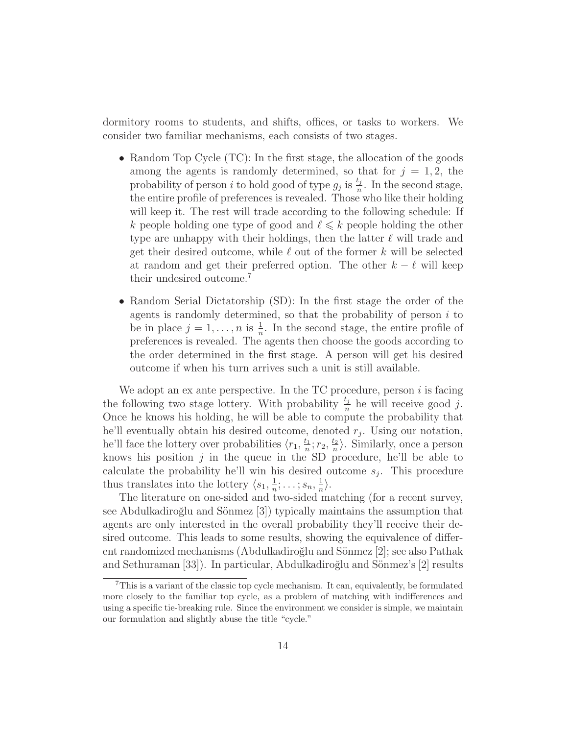dormitory rooms to students, and shifts, offices, or tasks to workers. We consider two familiar mechanisms, each consists of two stages.

- Random Top Cycle (TC): In the first stage, the allocation of the goods among the agents is randomly determined, so that for  $j = 1, 2$ , the probability of person i to hold good of type  $g_j$  is  $\frac{t_j}{n}$ . In the second stage, the entire profile of preferences is revealed. Those who like their holding will keep it. The rest will trade according to the following schedule: If k people holding one type of good and  $\ell \leq k$  people holding the other type are unhappy with their holdings, then the latter  $\ell$  will trade and get their desired outcome, while  $\ell$  out of the former k will be selected at random and get their preferred option. The other  $k - \ell$  will keep their undesired outcome.<sup>7</sup>
- Random Serial Dictatorship (SD): In the first stage the order of the agents is randomly determined, so that the probability of person  $i$  to be in place  $j = 1, \ldots, n$  is  $\frac{1}{n}$ . In the second stage, the entire profile of preferences is revealed. The agents then choose the goods according to the order determined in the first stage. A person will get his desired outcome if when his turn arrives such a unit is still available.

We adopt an ex ante perspective. In the  $TC$  procedure, person  $i$  is facing the following two stage lottery. With probability  $\frac{t_j}{n}$  he will receive good j. Once he knows his holding, he will be able to compute the probability that he'll eventually obtain his desired outcome, denoted  $r_j$ . Using our notation, he'll face the lottery over probabilities  $\langle r_1, \frac{t_1}{n} \rangle$  $\frac{t_1}{n}$ ;  $r_2, \frac{t_2}{n}$  $\frac{t_2}{n}$ . Similarly, once a person knows his position  $j$  in the queue in the SD procedure, he'll be able to calculate the probability he'll win his desired outcome  $s_j$ . This procedure thus translates into the lottery  $\langle s_1, \frac{1}{n} \rangle$  $\frac{1}{n}$ ; ...;  $s_n$ ,  $\frac{1}{n}$  $\frac{1}{n}$ .

The literature on one-sided and two-sided matching (for a recent survey, see Abdulkadiroğlu and Sönmez [3]) typically maintains the assumption that agents are only interested in the overall probability they'll receive their desired outcome. This leads to some results, showing the equivalence of different randomized mechanisms (Abdulkadiroğlu and Sönmez [2]; see also Pathak and Sethuraman [33]). In particular, Abdulkadiroğlu and Sönmez's [2] results

<sup>7</sup>This is a variant of the classic top cycle mechanism. It can, equivalently, be formulated more closely to the familiar top cycle, as a problem of matching with indifferences and using a specific tie-breaking rule. Since the environment we consider is simple, we maintain our formulation and slightly abuse the title "cycle."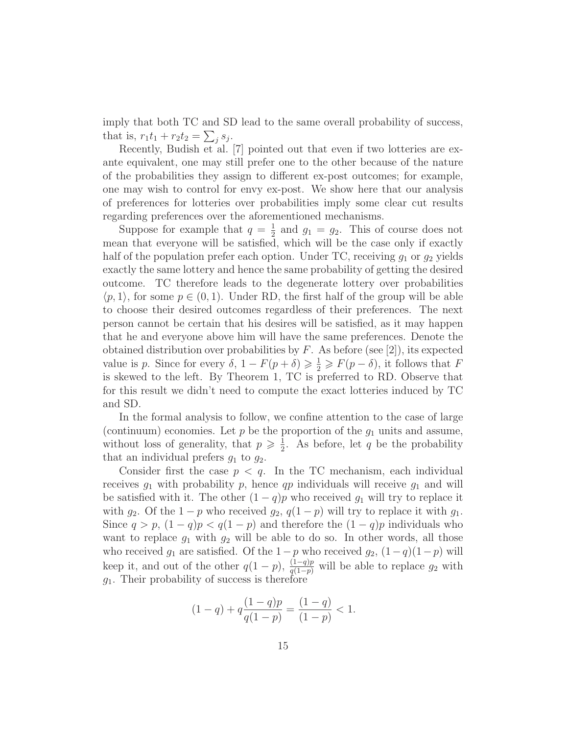imply that both TC and SD lead to the same overall probability of success, that is,  $r_1t_1 + r_2t_2 = \sum_j s_j$ .

Recently, Budish et al. [7] pointed out that even if two lotteries are exante equivalent, one may still prefer one to the other because of the nature of the probabilities they assign to different ex-post outcomes; for example, one may wish to control for envy ex-post. We show here that our analysis of preferences for lotteries over probabilities imply some clear cut results regarding preferences over the aforementioned mechanisms.

Suppose for example that  $q=\frac{1}{2}$  $\frac{1}{2}$  and  $g_1 = g_2$ . This of course does not mean that everyone will be satisfied, which will be the case only if exactly half of the population prefer each option. Under TC, receiving  $g_1$  or  $g_2$  yields exactly the same lottery and hence the same probability of getting the desired outcome. TC therefore leads to the degenerate lottery over probabilities  $\langle p, 1 \rangle$ , for some  $p \in (0, 1)$ . Under RD, the first half of the group will be able to choose their desired outcomes regardless of their preferences. The next person cannot be certain that his desires will be satisfied, as it may happen that he and everyone above him will have the same preferences. Denote the obtained distribution over probabilities by  $F$ . As before (see [2]), its expected value is p. Since for every  $\delta$ ,  $1 - F(p + \delta) \geq \frac{1}{2} \geq F(p - \delta)$ , it follows that F is skewed to the left. By Theorem 1, TC is preferred to RD. Observe that for this result we didn't need to compute the exact lotteries induced by TC and SD.

In the formal analysis to follow, we confine attention to the case of large (continuum) economies. Let  $p$  be the proportion of the  $g_1$  units and assume, without loss of generality, that  $p \geqslant \frac{1}{2}$  $\frac{1}{2}$ . As before, let q be the probability that an individual prefers  $g_1$  to  $g_2$ .

Consider first the case  $p < q$ . In the TC mechanism, each individual receives  $g_1$  with probability p, hence qp individuals will receive  $g_1$  and will be satisfied with it. The other  $(1 - q)p$  who received  $g_1$  will try to replace it with  $g_2$ . Of the  $1 - p$  who received  $g_2$ ,  $q(1 - p)$  will try to replace it with  $g_1$ . Since  $q > p$ ,  $(1 - q)p < q(1 - p)$  and therefore the  $(1 - q)p$  individuals who want to replace  $g_1$  with  $g_2$  will be able to do so. In other words, all those who received  $g_1$  are satisfied. Of the  $1-p$  who received  $g_2$ ,  $(1-q)(1-p)$  will keep it, and out of the other  $q(1-p)$ ,  $\frac{(1-q)p}{q(1-p)}$  will be able to replace  $g_2$  with  $g_1$ . Their probability of success is therefore

$$
(1-q) + q\frac{(1-q)p}{q(1-p)} = \frac{(1-q)}{(1-p)} < 1.
$$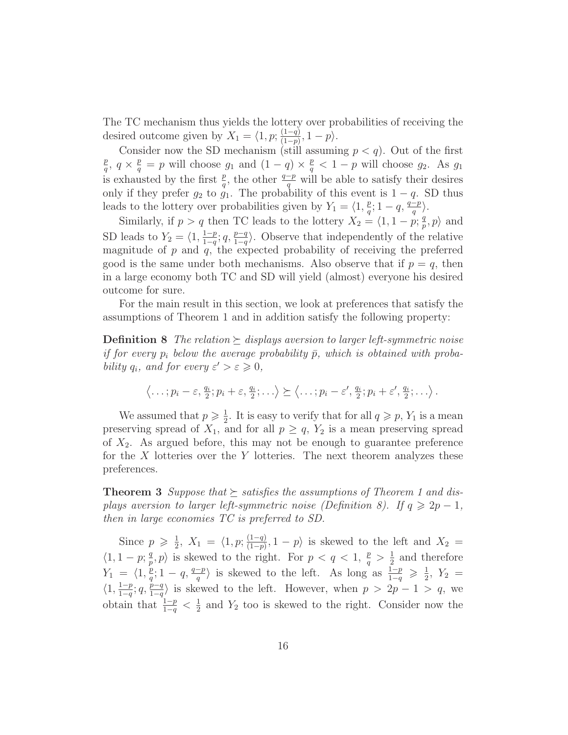The TC mechanism thus yields the lottery over probabilities of receiving the desired outcome given by  $X_1 = \langle 1, p; \frac{(1-q)}{(1-p)} \rangle$  $\frac{(1-q)}{(1-p)}, 1-p\rangle.$ 

Consider now the SD mechanism (still assuming  $p < q$ ). Out of the first p  $\frac{p}{q}$ ,  $q \times \frac{p}{q} = p$  will choose  $g_1$  and  $(1-q) \times \frac{p}{q}$  $\frac{p}{q} < 1-p$  will choose  $g_2$ . As  $g_1$ is exhausted by the first  $\frac{p}{q}$ , the other  $\frac{q-p}{q}$  will be able to satisfy their desires only if they prefer  $g_2$  to  $g_1$ . The probability of this event is  $1 - q$ . SD thus leads to the lottery over probabilities given by  $Y_1 = \langle 1, \frac{p}{q} \rangle$  $\frac{p}{q}; 1-q, \frac{q-p}{q}.$ 

Similarly, if  $p > q$  then TC leads to the lottery  $X_2 = \langle 1, 1 - p; \frac{q}{p} \rangle$  $_p^q, p$  and SD leads to  $Y_2 = \langle 1, \frac{1-p}{1-q} \rangle$  $\frac{1-p}{1-q}$ ;  $q, \frac{p-q}{1-q}$ . Observe that independently of the relative magnitude of  $p$  and  $q$ , the expected probability of receiving the preferred good is the same under both mechanisms. Also observe that if  $p = q$ , then in a large economy both TC and SD will yield (almost) everyone his desired outcome for sure.

For the main result in this section, we look at preferences that satisfy the assumptions of Theorem 1 and in addition satisfy the following property:

**Definition 8** The relation  $\geq$  displays aversion to larger left-symmetric noise if for every  $p_i$  below the average probability  $\bar{p}$ , which is obtained with probability  $q_i$ , and for every  $\varepsilon' > \varepsilon \geqslant 0$ ,

$$
\langle \ldots; p_i - \varepsilon, \frac{q_i}{2}; p_i + \varepsilon, \frac{q_i}{2}; \ldots \rangle \succeq \langle \ldots; p_i - \varepsilon', \frac{q_i}{2}; p_i + \varepsilon', \frac{q_i}{2}; \ldots \rangle.
$$

We assumed that  $p \geqslant \frac{1}{2}$  $\frac{1}{2}$ . It is easy to verify that for all  $q \geqslant p$ ,  $Y_1$  is a mean preserving spread of  $X_1$ , and for all  $p \ge q$ ,  $Y_2$  is a mean preserving spread of  $X_2$ . As argued before, this may not be enough to guarantee preference for the  $X$  lotteries over the  $Y$  lotteries. The next theorem analyzes these preferences.

**Theorem 3** Suppose that  $\succeq$  satisfies the assumptions of Theorem 1 and displays aversion to larger left-symmetric noise (Definition 8). If  $q \geq 2p-1$ , then in large economies TC is preferred to SD.

Since  $p \geqslant \frac{1}{2}$  $\frac{1}{2}$ ,  $X_1 = \langle 1, p; \frac{(1-q)}{(1-p)} \rangle$  $\frac{(1-q)}{(1-p)}, 1-p$  is skewed to the left and  $X_2 =$  $\langle 1, 1 - p; \frac{q}{n} \rangle$  $\binom{q}{p}, p$  is skewed to the right. For  $p < q < 1, \frac{p}{q} > \frac{1}{2}$  $\frac{1}{2}$  and therefore  $Y_1 = \langle 1, \frac{p}{a} \rangle$  $\frac{p}{q}$ ; 1 – q,  $\frac{q-p}{q}$  is skewed to the left. As long as  $\frac{1-p}{1-q} \geqslant \frac{1}{2}$  $\frac{1}{2}$ ,  $Y_2$  =  $\langle 1, \frac{1-p}{1-q}$  $\frac{1-p}{1-q}$ ;  $q, \frac{p-q}{1-q}$  is skewed to the left. However, when  $p > 2p - 1 > q$ , we obtain that  $\frac{1-p}{1-q} < \frac{1}{2}$  $\frac{1}{2}$  and  $Y_2$  too is skewed to the right. Consider now the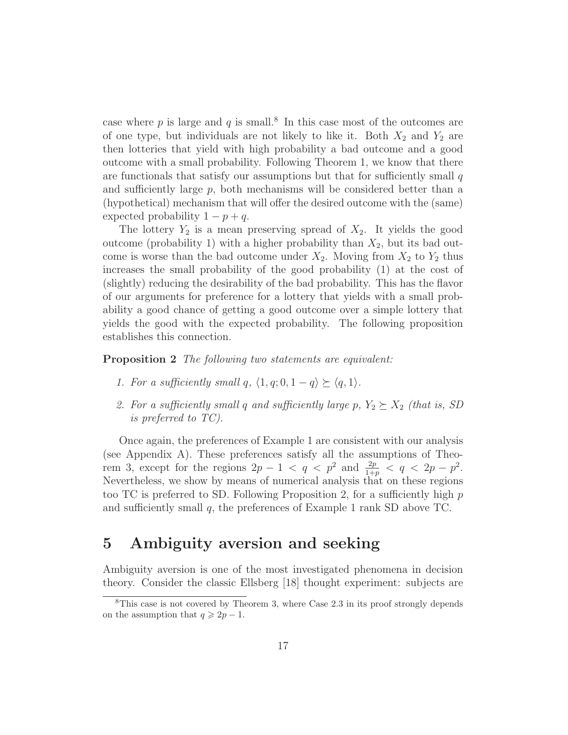case where  $p$  is large and  $q$  is small.<sup>8</sup> In this case most of the outcomes are of one type, but individuals are not likely to like it. Both  $X_2$  and  $Y_2$  are then lotteries that yield with high probability a bad outcome and a good outcome with a small probability. Following Theorem 1, we know that there are functionals that satisfy our assumptions but that for sufficiently small  $q$ and sufficiently large  $p$ , both mechanisms will be considered better than a (hypothetical) mechanism that will offer the desired outcome with the (same) expected probability  $1 - p + q$ .

The lottery  $Y_2$  is a mean preserving spread of  $X_2$ . It yields the good outcome (probability 1) with a higher probability than  $X_2$ , but its bad outcome is worse than the bad outcome under  $X_2$ . Moving from  $X_2$  to  $Y_2$  thus increases the small probability of the good probability (1) at the cost of (slightly) reducing the desirability of the bad probability. This has the flavor of our arguments for preference for a lottery that yields with a small probability a good chance of getting a good outcome over a simple lottery that yields the good with the expected probability. The following proposition establishes this connection.

**Proposition 2** The following two statements are equivalent:

- 1. For a sufficiently small q,  $\langle 1, q; 0, 1 q \rangle \succeq \langle q, 1 \rangle$ .
- 2. For a sufficiently small q and sufficiently large p,  $Y_2 \succeq X_2$  (that is, SD is preferred to TC).

Once again, the preferences of Example 1 are consistent with our analysis (see Appendix A). These preferences satisfy all the assumptions of Theorem 3, except for the regions  $2p - 1 < q < p^2$  and  $\frac{2p}{1+p} < q < 2p - p^2$ . Nevertheless, we show by means of numerical analysis that on these regions too TC is preferred to SD. Following Proposition 2, for a sufficiently high  $p$ and sufficiently small  $q$ , the preferences of Example 1 rank SD above TC.

### 5 Ambiguity aversion and seeking

Ambiguity aversion is one of the most investigated phenomena in decision theory. Consider the classic Ellsberg [18] thought experiment: subjects are

 ${}^{8}$ This case is not covered by Theorem 3, where Case 2.3 in its proof strongly depends on the assumption that  $q \geq 2p - 1$ .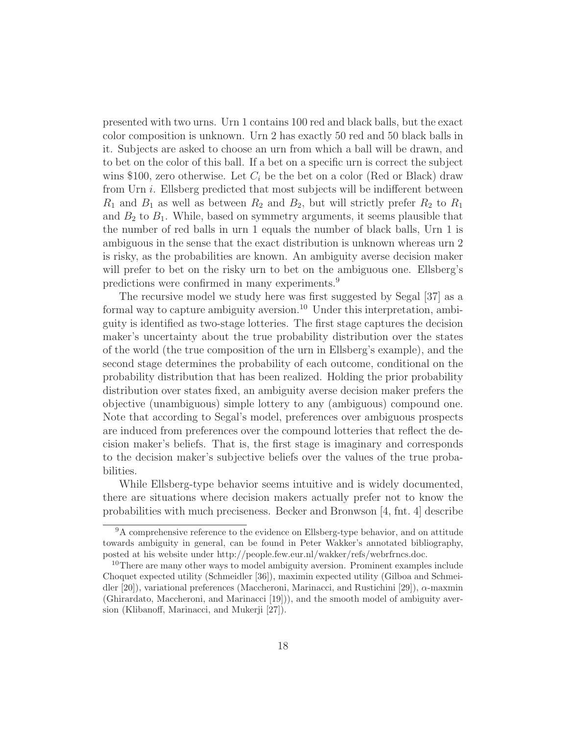presented with two urns. Urn 1 contains 100 red and black balls, but the exact color composition is unknown. Urn 2 has exactly 50 red and 50 black balls in it. Subjects are asked to choose an urn from which a ball will be drawn, and to bet on the color of this ball. If a bet on a specific urn is correct the subject wins \$100, zero otherwise. Let  $C_i$  be the bet on a color (Red or Black) draw from Urn i. Ellsberg predicted that most subjects will be indifferent between  $R_1$  and  $B_1$  as well as between  $R_2$  and  $B_2$ , but will strictly prefer  $R_2$  to  $R_1$ and  $B_2$  to  $B_1$ . While, based on symmetry arguments, it seems plausible that the number of red balls in urn 1 equals the number of black balls, Urn 1 is ambiguous in the sense that the exact distribution is unknown whereas urn 2 is risky, as the probabilities are known. An ambiguity averse decision maker will prefer to bet on the risky urn to bet on the ambiguous one. Ellsberg's predictions were confirmed in many experiments.<sup>9</sup>

The recursive model we study here was first suggested by Segal [37] as a formal way to capture ambiguity aversion.<sup>10</sup> Under this interpretation, ambiguity is identified as two-stage lotteries. The first stage captures the decision maker's uncertainty about the true probability distribution over the states of the world (the true composition of the urn in Ellsberg's example), and the second stage determines the probability of each outcome, conditional on the probability distribution that has been realized. Holding the prior probability distribution over states fixed, an ambiguity averse decision maker prefers the objective (unambiguous) simple lottery to any (ambiguous) compound one. Note that according to Segal's model, preferences over ambiguous prospects are induced from preferences over the compound lotteries that reflect the decision maker's beliefs. That is, the first stage is imaginary and corresponds to the decision maker's subjective beliefs over the values of the true probabilities.

While Ellsberg-type behavior seems intuitive and is widely documented, there are situations where decision makers actually prefer not to know the probabilities with much preciseness. Becker and Bronwson [4, fnt. 4] describe

<sup>9</sup>A comprehensive reference to the evidence on Ellsberg-type behavior, and on attitude towards ambiguity in general, can be found in Peter Wakker's annotated bibliography, posted at his website under http://people.few.eur.nl/wakker/refs/webrfrncs.doc.

<sup>&</sup>lt;sup>10</sup>There are many other ways to model ambiguity aversion. Prominent examples include Choquet expected utility (Schmeidler [36]), maximin expected utility (Gilboa and Schmeidler [20]), variational preferences (Maccheroni, Marinacci, and Rustichini [29]), α-maxmin (Ghirardato, Maccheroni, and Marinacci [19])), and the smooth model of ambiguity aversion (Klibanoff, Marinacci, and Mukerji [27]).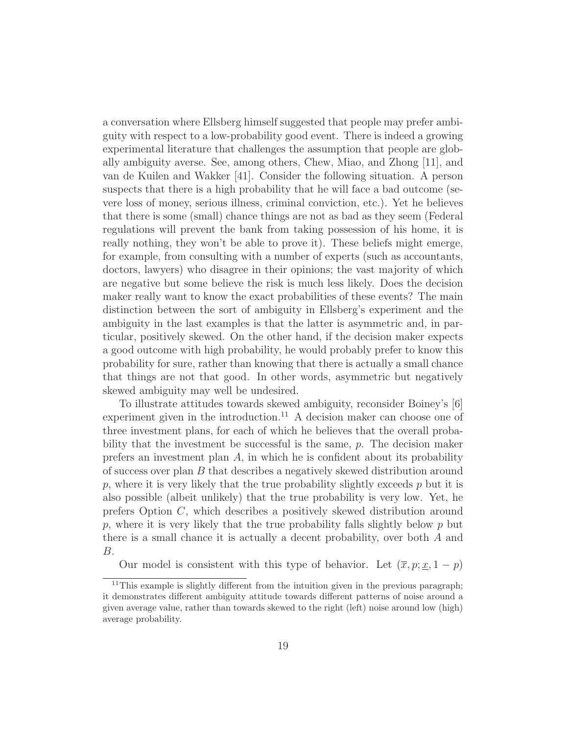a conversation where Ellsberg himself suggested that people may prefer ambiguity with respect to a low-probability good event. There is indeed a growing experimental literature that challenges the assumption that people are globally ambiguity averse. See, among others, Chew, Miao, and Zhong [11], and van de Kuilen and Wakker [41]. Consider the following situation. A person suspects that there is a high probability that he will face a bad outcome (severe loss of money, serious illness, criminal conviction, etc.). Yet he believes that there is some (small) chance things are not as bad as they seem (Federal regulations will prevent the bank from taking possession of his home, it is really nothing, they won't be able to prove it). These beliefs might emerge, for example, from consulting with a number of experts (such as accountants, doctors, lawyers) who disagree in their opinions; the vast majority of which are negative but some believe the risk is much less likely. Does the decision maker really want to know the exact probabilities of these events? The main distinction between the sort of ambiguity in Ellsberg's experiment and the ambiguity in the last examples is that the latter is asymmetric and, in particular, positively skewed. On the other hand, if the decision maker expects a good outcome with high probability, he would probably prefer to know this probability for sure, rather than knowing that there is actually a small chance that things are not that good. In other words, asymmetric but negatively skewed ambiguity may well be undesired.

To illustrate attitudes towards skewed ambiguity, reconsider Boiney's [6] experiment given in the introduction.<sup>11</sup> A decision maker can choose one of three investment plans, for each of which he believes that the overall probability that the investment be successful is the same, p. The decision maker prefers an investment plan  $A$ , in which he is confident about its probability of success over plan B that describes a negatively skewed distribution around  $p$ , where it is very likely that the true probability slightly exceeds  $p$  but it is also possible (albeit unlikely) that the true probability is very low. Yet, he prefers Option C, which describes a positively skewed distribution around p, where it is very likely that the true probability falls slightly below  $p$  but there is a small chance it is actually a decent probability, over both A and B.

Our model is consistent with this type of behavior. Let  $(\overline{x}, p; \underline{x}, 1-p)$ 

<sup>&</sup>lt;sup>11</sup>This example is slightly different from the intuition given in the previous paragraph; it demonstrates different ambiguity attitude towards different patterns of noise around a given average value, rather than towards skewed to the right (left) noise around low (high) average probability.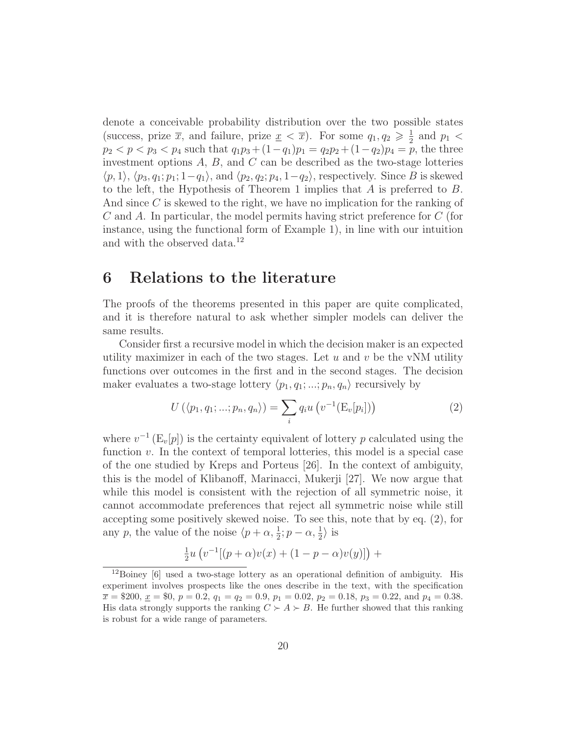denote a conceivable probability distribution over the two possible states (success, prize  $\bar{x}$ , and failure, prize  $\underline{x} < \bar{x}$ ). For some  $q_1, q_2 \geq \frac{1}{2}$  $rac{1}{2}$  and  $p_1$  <  $p_2 < p < p_3 < p_4$  such that  $q_1p_3 + (1-q_1)p_1 = q_2p_2 + (1-q_2)p_4 = p$ , the three investment options  $A, B$ , and  $C$  can be described as the two-stage lotteries  $\langle p, 1 \rangle$ ,  $\langle p_3, q_1; p_1; 1-q_1 \rangle$ , and  $\langle p_2, q_2; p_4, 1-q_2 \rangle$ , respectively. Since B is skewed to the left, the Hypothesis of Theorem 1 implies that  $A$  is preferred to  $B$ . And since C is skewed to the right, we have no implication for the ranking of C and A. In particular, the model permits having strict preference for C (for instance, using the functional form of Example 1), in line with our intuition and with the observed data.<sup>12</sup>

### 6 Relations to the literature

The proofs of the theorems presented in this paper are quite complicated, and it is therefore natural to ask whether simpler models can deliver the same results.

Consider first a recursive model in which the decision maker is an expected utility maximizer in each of the two stages. Let  $u$  and  $v$  be the vNM utility functions over outcomes in the first and in the second stages. The decision maker evaluates a two-stage lottery  $\langle p_1, q_1; ...; p_n, q_n \rangle$  recursively by

$$
U(\langle p_1, q_1; \ldots; p_n, q_n \rangle) = \sum_i q_i u\left(v^{-1}(\mathcal{E}_v[p_i])\right)
$$
 (2)

where  $v^{-1}$  (E<sub>v</sub>[p]) is the certainty equivalent of lottery p calculated using the function v. In the context of temporal lotteries, this model is a special case of the one studied by Kreps and Porteus [26]. In the context of ambiguity, this is the model of Klibanoff, Marinacci, Mukerji [27]. We now argue that while this model is consistent with the rejection of all symmetric noise, it cannot accommodate preferences that reject all symmetric noise while still accepting some positively skewed noise. To see this, note that by eq. (2), for any p, the value of the noise  $\langle p + \alpha, \frac{1}{2} ; p - \alpha, \frac{1}{2} \rangle$  is

$$
\frac{1}{2}u (v^{-1}[(p+\alpha)v(x) + (1-p-\alpha)v(y)] +
$$

<sup>12</sup>Boiney [6] used a two-stage lottery as an operational definition of ambiguity. His experiment involves prospects like the ones describe in the text, with the specification  $\overline{x} = $200, \underline{x} = $0, p = 0.2, q_1 = q_2 = 0.9, p_1 = 0.02, p_2 = 0.18, p_3 = 0.22, \text{ and } p_4 = 0.38.$ His data strongly supports the ranking  $C \succ A \succ B$ . He further showed that this ranking is robust for a wide range of parameters.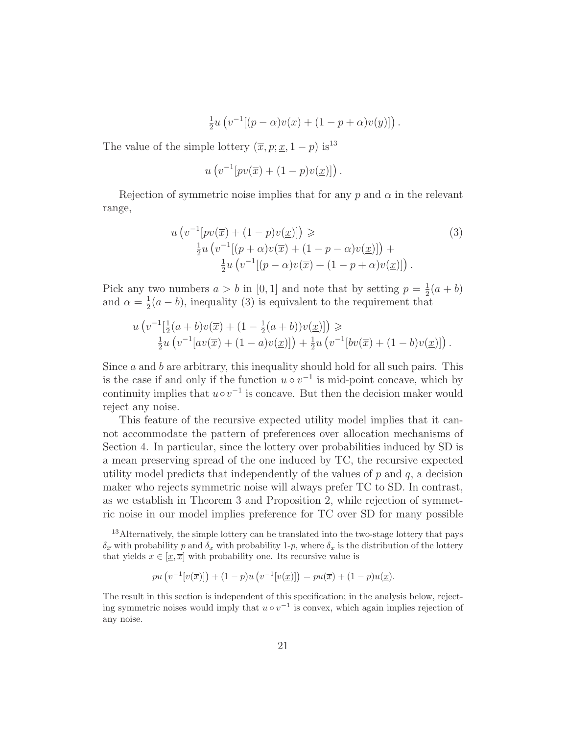$$
\frac{1}{2}u (v^{-1}[(p - \alpha)v(x) + (1 - p + \alpha)v(y)]).
$$

The value of the simple lottery  $(\overline{x}, p; \underline{x}, 1-p)$  is<sup>13</sup>

$$
u\left(v^{-1}[pv(\overline{x})+(1-p)v(\underline{x})]\right).
$$

Rejection of symmetric noise implies that for any p and  $\alpha$  in the relevant range,

$$
u\left(v^{-1}[pv(\overline{x}) + (1-p)v(\underline{x})]\right) \geq \frac{\frac{1}{2}u\left(v^{-1}[(p+\alpha)v(\overline{x}) + (1-p-\alpha)v(\underline{x})]\right) + \frac{\frac{1}{2}u\left(v^{-1}[(p-\alpha)v(\overline{x}) + (1-p+\alpha)v(\underline{x})]\right).
$$
\n(3)

Pick any two numbers  $a > b$  in [0, 1] and note that by setting  $p = \frac{1}{2}$  $rac{1}{2}(a + b)$ and  $\alpha = \frac{1}{2}$  $\frac{1}{2}(a - b)$ , inequality (3) is equivalent to the requirement that

$$
u\left(v^{-1}[\frac{1}{2}(a+b)v(\overline{x}) + (1-\frac{1}{2}(a+b))v(\underline{x})]\right) \geq \frac{1}{2}u\left(v^{-1}[av(\overline{x}) + (1-a)v(\underline{x})]\right) + \frac{1}{2}u\left(v^{-1}[bv(\overline{x}) + (1-b)v(\underline{x})]\right).
$$

Since  $a$  and  $b$  are arbitrary, this inequality should hold for all such pairs. This is the case if and only if the function  $u \circ v^{-1}$  is mid-point concave, which by continuity implies that  $u \circ v^{-1}$  is concave. But then the decision maker would reject any noise.

This feature of the recursive expected utility model implies that it cannot accommodate the pattern of preferences over allocation mechanisms of Section 4. In particular, since the lottery over probabilities induced by SD is a mean preserving spread of the one induced by TC, the recursive expected utility model predicts that independently of the values of  $p$  and  $q$ , a decision maker who rejects symmetric noise will always prefer TC to SD. In contrast, as we establish in Theorem 3 and Proposition 2, while rejection of symmetric noise in our model implies preference for TC over SD for many possible

<sup>&</sup>lt;sup>13</sup>Alternatively, the simple lottery can be translated into the two-stage lottery that pays  $\delta_{\overline{x}}$  with probability p and  $\delta_{\underline{x}}$  with probability 1-p, where  $\delta_x$  is the distribution of the lottery that yields  $x \in [\underline{x}, \overline{x}]$  with probability one. Its recursive value is

 $pu(v^{-1}[v(\overline{x})]) + (1-p)u(v^{-1}[v(\underline{x})]) = pu(\overline{x}) + (1-p)u(\underline{x}).$ 

The result in this section is independent of this specification; in the analysis below, rejecting symmetric noises would imply that  $u \circ v^{-1}$  is convex, which again implies rejection of any noise.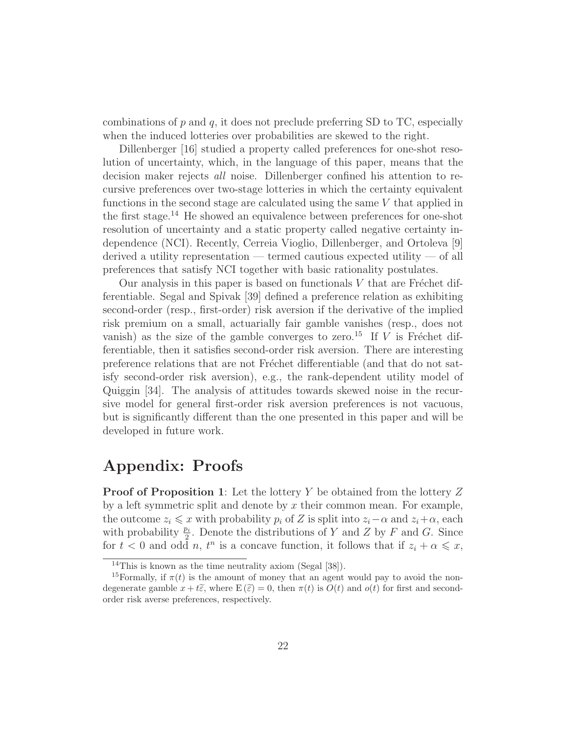combinations of  $p$  and  $q$ , it does not preclude preferring SD to TC, especially when the induced lotteries over probabilities are skewed to the right.

Dillenberger [16] studied a property called preferences for one-shot resolution of uncertainty, which, in the language of this paper, means that the decision maker rejects all noise. Dillenberger confined his attention to recursive preferences over two-stage lotteries in which the certainty equivalent functions in the second stage are calculated using the same V that applied in the first stage.<sup>14</sup> He showed an equivalence between preferences for one-shot resolution of uncertainty and a static property called negative certainty independence (NCI). Recently, Cerreia Vioglio, Dillenberger, and Ortoleva [9] derived a utility representation — termed cautious expected utility — of all preferences that satisfy NCI together with basic rationality postulates.

Our analysis in this paper is based on functionals  $V$  that are Fréchet differentiable. Segal and Spivak [39] defined a preference relation as exhibiting second-order (resp., first-order) risk aversion if the derivative of the implied risk premium on a small, actuarially fair gamble vanishes (resp., does not vanish) as the size of the gamble converges to zero.<sup>15</sup> If V is Fréchet differentiable, then it satisfies second-order risk aversion. There are interesting preference relations that are not Fréchet differentiable (and that do not satisfy second-order risk aversion), e.g., the rank-dependent utility model of Quiggin [34]. The analysis of attitudes towards skewed noise in the recursive model for general first-order risk aversion preferences is not vacuous, but is significantly different than the one presented in this paper and will be developed in future work.

# Appendix: Proofs

**Proof of Proposition 1:** Let the lottery Y be obtained from the lottery Z by a left symmetric split and denote by  $x$  their common mean. For example, the outcome  $z_i \leq x$  with probability  $p_i$  of Z is split into  $z_i-\alpha$  and  $z_i+\alpha$ , each with probability  $\frac{p_i}{2}$ . Denote the distributions of Y and Z by F and G. Since for  $t < 0$  and odd n,  $t^n$  is a concave function, it follows that if  $z_i + \alpha \leqslant x$ ,

<sup>&</sup>lt;sup>14</sup>This is known as the time neutrality axiom (Segal  $[38]$ ).

<sup>&</sup>lt;sup>15</sup>Formally, if  $\pi(t)$  is the amount of money that an agent would pay to avoid the nondegenerate gamble  $x + t\tilde{\varepsilon}$ , where  $E(\tilde{\varepsilon}) = 0$ , then  $\pi(t)$  is  $O(t)$  and  $o(t)$  for first and secondorder risk averse preferences, respectively.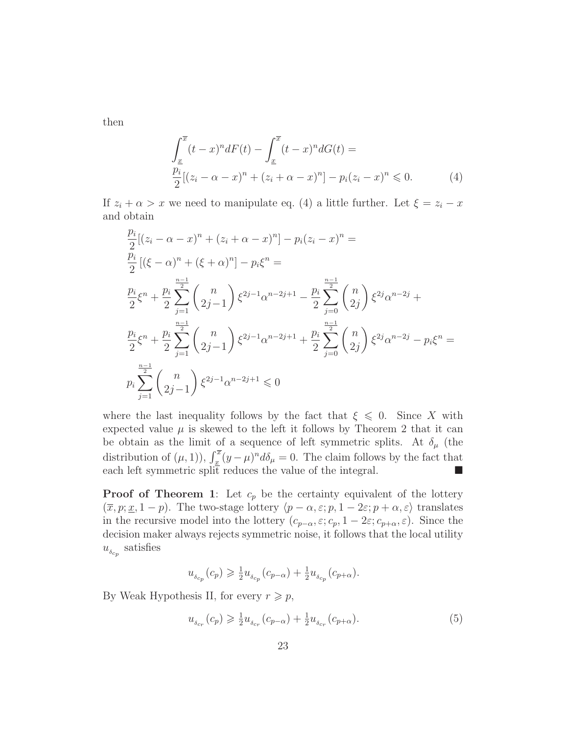then

$$
\int_{\underline{x}}^{\overline{x}} (t-x)^n dF(t) - \int_{\underline{x}}^{\overline{x}} (t-x)^n dG(t) =
$$
\n
$$
\frac{p_i}{2} [(z_i - \alpha - x)^n + (z_i + \alpha - x)^n] - p_i (z_i - x)^n \leq 0.
$$
\n(4)

If  $z_i + \alpha > x$  we need to manipulate eq. (4) a little further. Let  $\xi = z_i - x$ and obtain

$$
\frac{p_i}{2} [(z_i - \alpha - x)^n + (z_i + \alpha - x)^n] - p_i (z_i - x)^n =
$$
\n
$$
\frac{p_i}{2} [(\xi - \alpha)^n + (\xi + \alpha)^n] - p_i \xi^n =
$$
\n
$$
\frac{p_i}{2} \xi^n + \frac{p_i}{2} \sum_{j=1}^{\frac{n-1}{2}} {n \choose 2j-1} \xi^{2j-1} \alpha^{n-2j+1} - \frac{p_i}{2} \sum_{j=0}^{\frac{n-1}{2}} {n \choose 2j} \xi^{2j} \alpha^{n-2j} +
$$
\n
$$
\frac{p_i}{2} \xi^n + \frac{p_i}{2} \sum_{j=1}^{\frac{n-1}{2}} {n \choose 2j-1} \xi^{2j-1} \alpha^{n-2j+1} + \frac{p_i}{2} \sum_{j=0}^{\frac{n-1}{2}} {n \choose 2j} \xi^{2j} \alpha^{n-2j} - p_i \xi^n =
$$
\n
$$
p_i \sum_{j=1}^{\frac{n-1}{2}} {n \choose 2j-1} \xi^{2j-1} \alpha^{n-2j+1} \leq 0
$$

where the last inequality follows by the fact that  $\xi \leq 0$ . Since X with expected value  $\mu$  is skewed to the left it follows by Theorem 2 that it can be obtain as the limit of a sequence of left symmetric splits. At  $\delta_\mu$  (the distribution of  $(\mu, 1)$ ),  $\int_{\underline{x}}^{\overline{x}} (y - \mu)^n d\delta_\mu = 0$ . The claim follows by the fact that each left symmetric split reduces the value of the integral.  $\blacksquare$ 

**Proof of Theorem 1:** Let  $c_p$  be the certainty equivalent of the lottery  $(\overline{x}, p; \underline{x}, 1-p)$ . The two-stage lottery  $\langle p - \alpha, \varepsilon; p, 1 - 2\varepsilon; p + \alpha, \varepsilon \rangle$  translates in the recursive model into the lottery  $(c_{p-\alpha}, \varepsilon; c_p, 1-2\varepsilon; c_{p+\alpha}, \varepsilon)$ . Since the decision maker always rejects symmetric noise, it follows that the local utility  $u_{\delta c_p}$  satisfies

$$
u_{\delta_{c_p}}(c_p) \geq \frac{1}{2}u_{\delta_{c_p}}(c_{p-\alpha}) + \frac{1}{2}u_{\delta_{c_p}}(c_{p+\alpha}).
$$

By Weak Hypothesis II, for every  $r \geq p$ ,

$$
u_{\delta_{c_r}}(c_p) \geq \frac{1}{2} u_{\delta_{c_r}}(c_{p-\alpha}) + \frac{1}{2} u_{\delta_{c_r}}(c_{p+\alpha}).
$$
\n(5)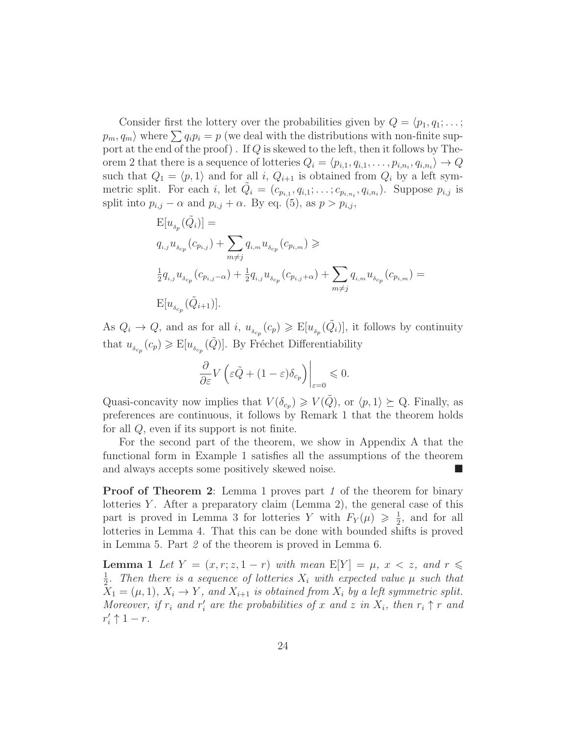Consider first the lottery over the probabilities given by  $Q = \langle p_1, q_1; \dots;$  $p_m, q_m$  where  $\sum q_i p_i = p$  (we deal with the distributions with non-finite support at the end of the proof). If  $Q$  is skewed to the left, then it follows by Theorem 2 that there is a sequence of lotteries  $Q_i = \langle p_{i,1}, q_{i,1}, \ldots, p_{i,n_i}, q_{i,n_i} \rangle \rightarrow Q$ such that  $Q_1 = \langle p, 1 \rangle$  and for all i,  $Q_{i+1}$  is obtained from  $Q_i$  by a left symmetric split. For each i, let  $\tilde{Q}_i = (c_{p_{i,1}}, q_{i,1}; \ldots; c_{p_{i,n_i}}, q_{i,n_i})$ . Suppose  $p_{i,j}$  is split into  $p_{i,j} - \alpha$  and  $p_{i,j} + \alpha$ . By eq. (5), as  $p > p_{i,j}$ ,

$$
\begin{aligned} &\mathbf{E}[u_{\delta_p}(\tilde{Q}_i)] = \\ &q_{i,j}u_{\delta_{cp}}(c_{p_{i,j}}) + \sum_{m \neq j} q_{i,m}u_{\delta_{cp}}(c_{p_{i,m}}) \geqslant \\ &\frac{1}{2}q_{i,j}u_{\delta_{cp}}(c_{p_{i,j}-\alpha}) + \frac{1}{2}q_{i,j}u_{\delta_{cp}}(c_{p_{i,j}+\alpha}) + \sum_{m \neq j} q_{i,m}u_{\delta_{cp}}(c_{p_{i,m}}) = \\ &\mathbf{E}[u_{\delta_{cp}}(\tilde{Q}_{i+1})]. \end{aligned}
$$

As  $Q_i \to Q$ , and as for all i,  $u_{\delta_{c_p}}(c_p) \geq E[u_{\delta_p}(\tilde{Q}_i)]$ , it follows by continuity that  $u_{\delta_{cp}}(c_p) \geqslant E[u_{\delta_{cp}}(\tilde{Q})]$ . By Fréchet Differentiability

$$
\frac{\partial}{\partial \varepsilon} V \left( \varepsilon \tilde{Q} + (1-\varepsilon) \delta_{c_p} \right) \bigg|_{\varepsilon = 0} \leqslant 0.
$$

Quasi-concavity now implies that  $V(\delta_{c_p}) \geq V(\tilde{Q})$ , or  $\langle p, 1 \rangle \succeq Q$ . Finally, as preferences are continuous, it follows by Remark 1 that the theorem holds for all Q, even if its support is not finite.

For the second part of the theorem, we show in Appendix A that the functional form in Example 1 satisfies all the assumptions of the theorem and always accepts some positively skewed noise.

**Proof of Theorem 2:** Lemma 1 proves part 1 of the theorem for binary lotteries  $Y$ . After a preparatory claim (Lemma 2), the general case of this part is proved in Lemma 3 for lotteries Y with  $F_Y(\mu) \geq \frac{1}{2}$  $\frac{1}{2}$ , and for all lotteries in Lemma 4. That this can be done with bounded shifts is proved in Lemma 5. Part 2 of the theorem is proved in Lemma 6.

**Lemma 1** Let  $Y = (x, r; z, 1 - r)$  with mean  $E[Y] = \mu, x < z$ , and  $r \leq$ 1  $\frac{1}{2}$ . Then there is a sequence of lotteries  $X_i$  with expected value  $\mu$  such that  $X_1 = (\mu, 1), X_i \rightarrow Y$ , and  $X_{i+1}$  is obtained from  $X_i$  by a left symmetric split. Moreover, if  $r_i$  and  $r'_i$  are the probabilities of x and z in  $X_i$ , then  $r_i \uparrow r$  and  $r'_i \uparrow 1-r$ .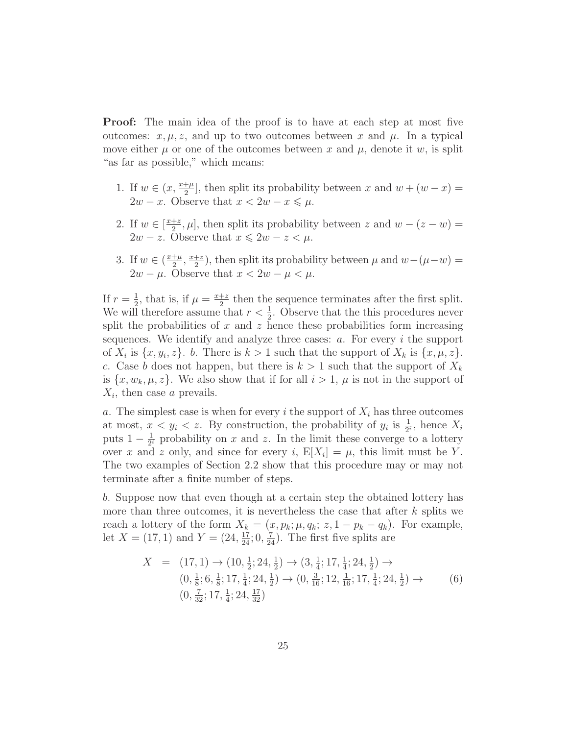Proof: The main idea of the proof is to have at each step at most five outcomes:  $x, \mu, z$ , and up to two outcomes between x and  $\mu$ . In a typical move either  $\mu$  or one of the outcomes between x and  $\mu$ , denote it w, is split "as far as possible," which means:

- 1. If  $w \in (x, \frac{x+\mu}{2}]$ , then split its probability between x and  $w + (w x) =$  $2w - x$ . Observe that  $x < 2w - x \leq \mu$ .
- 2. If  $w \in \left[\frac{x+z}{2}\right]$  $\frac{1}{2}$ ;  $\mu$ , then split its probability between z and  $w - (z - w) =$  $2w - z$ . Observe that  $x \leq 2w - z < \mu$ .
- 3. If  $w \in (\frac{x+\mu}{2})$  $\frac{+\mu}{2}, \frac{x+z}{2}$  $\frac{+z}{2}$ ), then split its probability between  $\mu$  and  $w-(\mu-w)$  =  $2w - \mu$ . Observe that  $x < 2w - \mu < \mu$ .

If  $r=\frac{1}{2}$  $\frac{1}{2}$ , that is, if  $\mu = \frac{x+z}{2}$  $\frac{+z}{2}$  then the sequence terminates after the first split. We will therefore assume that  $r < \frac{1}{2}$ . Observe that the this procedures never split the probabilities of  $x$  and  $z$  hence these probabilities form increasing sequences. We identify and analyze three cases:  $a$ . For every  $i$  the support of  $X_i$  is  $\{x, y_i, z\}$ . b. There is  $k > 1$  such that the support of  $X_k$  is  $\{x, \mu, z\}$ . c. Case b does not happen, but there is  $k > 1$  such that the support of  $X_k$ is  $\{x, w_k, \mu, z\}$ . We also show that if for all  $i > 1$ ,  $\mu$  is not in the support of  $X_i$ , then case a prevails.

a. The simplest case is when for every i the support of  $X_i$  has three outcomes at most,  $x < y_i < z$ . By construction, the probability of  $y_i$  is  $\frac{1}{2^i}$ , hence  $X_i$ puts  $1-\frac{1}{2^n}$  $\frac{1}{2^i}$  probability on x and z. In the limit these converge to a lottery over x and z only, and since for every i,  $E[X_i] = \mu$ , this limit must be Y. The two examples of Section 2.2 show that this procedure may or may not terminate after a finite number of steps.

b. Suppose now that even though at a certain step the obtained lottery has more than three outcomes, it is nevertheless the case that after  $k$  splits we reach a lottery of the form  $X_k = (x, p_k; \mu, q_k; z, 1 - p_k - q_k)$ . For example, let  $X = (17, 1)$  and  $Y = (24, \frac{17}{24}; 0, \frac{7}{24})$ . The first five splits are

$$
X = (17, 1) \rightarrow (10, \frac{1}{2}; 24, \frac{1}{2}) \rightarrow (3, \frac{1}{4}; 17, \frac{1}{4}; 24, \frac{1}{2}) \rightarrow (0, \frac{1}{8}; 6, \frac{1}{8}; 17, \frac{1}{4}; 24, \frac{1}{2}) \rightarrow (0, \frac{3}{16}; 12, \frac{1}{16}; 17, \frac{1}{4}; 24, \frac{1}{2}) \rightarrow (6)
$$
  

$$
(0, \frac{7}{32}; 17, \frac{1}{4}; 24, \frac{17}{32})
$$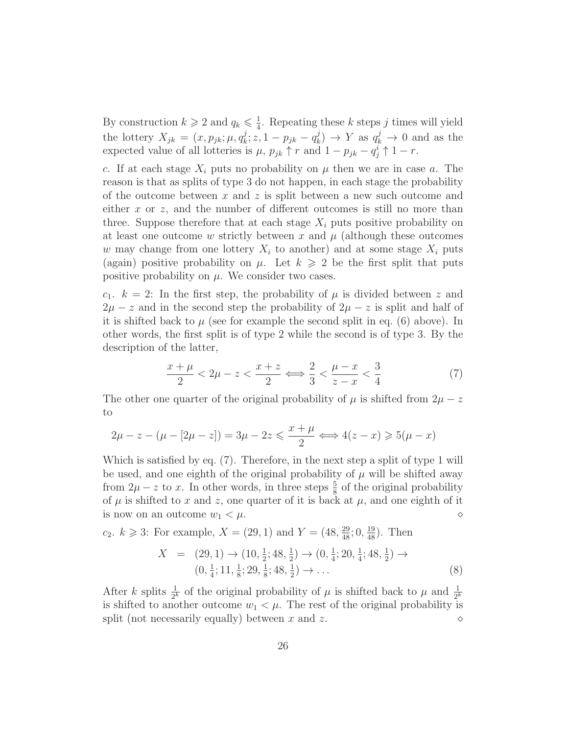By construction  $k \geqslant 2$  and  $q_k \leqslant \frac{1}{4}$  $\frac{1}{4}$ . Repeating these k steps j times will yield the lottery  $X_{jk} = (x, p_{jk}; \mu, q_k^j)$  $x^j, z, 1-p_{jk} - q^j_k$  $\chi_k^j$   $\rightarrow$  Y as  $q_k^j$   $\rightarrow$  0 and as the expected value of all lotteries is  $\mu$ ,  $p_{jk} \uparrow r$  and  $1 - p_{jk} - q_j^i \uparrow 1 - r$ .

c. If at each stage  $X_i$  puts no probability on  $\mu$  then we are in case a. The reason is that as splits of type 3 do not happen, in each stage the probability of the outcome between x and z is split between a new such outcome and either  $x$  or  $z$ , and the number of different outcomes is still no more than three. Suppose therefore that at each stage  $X_i$  puts positive probability on at least one outcome w strictly between x and  $\mu$  (although these outcomes w may change from one lottery  $X_i$  to another) and at some stage  $X_i$  puts (again) positive probability on  $\mu$ . Let  $k \geq 2$  be the first split that puts positive probability on  $\mu$ . We consider two cases.

 $c_1$ .  $k = 2$ : In the first step, the probability of  $\mu$  is divided between z and  $2\mu - z$  and in the second step the probability of  $2\mu - z$  is split and half of it is shifted back to  $\mu$  (see for example the second split in eq. (6) above). In other words, the first split is of type 2 while the second is of type 3. By the description of the latter,

$$
\frac{x+\mu}{2} < 2\mu - z < \frac{x+z}{2} \Longleftrightarrow \frac{2}{3} < \frac{\mu - x}{z - x} < \frac{3}{4} \tag{7}
$$

The other one quarter of the original probability of  $\mu$  is shifted from  $2\mu - z$ to

$$
2\mu - z - (\mu - [2\mu - z]) = 3\mu - 2z \le \frac{x + \mu}{2} \iff 4(z - x) \ge 5(\mu - x)
$$

Which is satisfied by eq. (7). Therefore, in the next step a split of type 1 will be used, and one eighth of the original probability of  $\mu$  will be shifted away from  $2\mu - z$  to x. In other words, in three steps  $\frac{5}{8}$  of the original probability of  $\mu$  is shifted to x and z, one quarter of it is back at  $\mu$ , and one eighth of it is now on an outcome  $w_1 < \mu$ .

 $c_2$ .  $k \geq 3$ : For example,  $X = (29, 1)$  and  $Y = (48, \frac{29}{48}; 0, \frac{19}{48})$ . Then

$$
X = (29, 1) \rightarrow (10, \frac{1}{2}; 48, \frac{1}{2}) \rightarrow (0, \frac{1}{4}; 20, \frac{1}{4}; 48, \frac{1}{2}) \rightarrow (0, \frac{1}{4}; 11, \frac{1}{8}; 29, \frac{1}{8}; 48, \frac{1}{2}) \rightarrow \dots
$$
\n(8)

After k splits  $\frac{1}{2^k}$  of the original probability of  $\mu$  is shifted back to  $\mu$  and  $\frac{1}{2^k}$ is shifted to another outcome  $w_1 < \mu$ . The rest of the original probability is split (not necessarily equally) between x and z.  $\Diamond$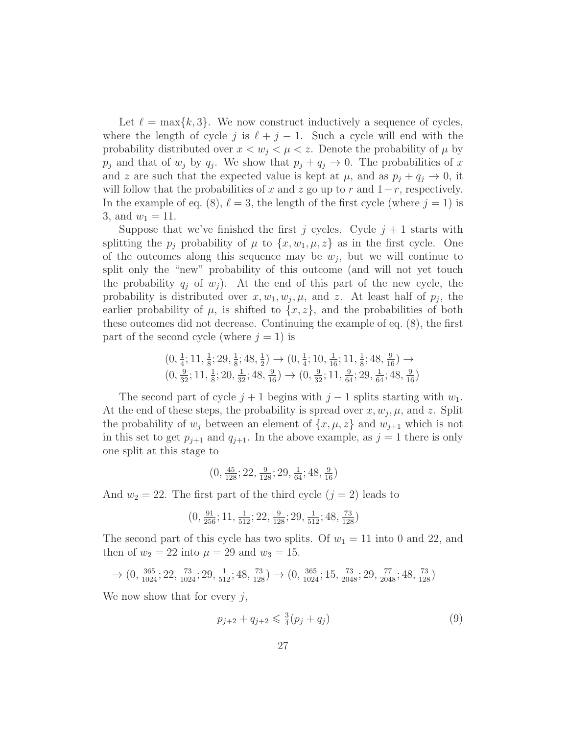Let  $\ell = \max\{k, 3\}$ . We now construct inductively a sequence of cycles, where the length of cycle j is  $\ell + j - 1$ . Such a cycle will end with the probability distributed over  $x < w_j < \mu < z$ . Denote the probability of  $\mu$  by  $p_j$  and that of  $w_j$  by  $q_j$ . We show that  $p_j + q_j \to 0$ . The probabilities of x and z are such that the expected value is kept at  $\mu$ , and as  $p_j + q_j \to 0$ , it will follow that the probabilities of x and z go up to r and  $1-r$ , respectively. In the example of eq. (8),  $\ell = 3$ , the length of the first cycle (where  $j = 1$ ) is 3, and  $w_1 = 11$ .

Suppose that we've finished the first j cycles. Cycle  $j + 1$  starts with splitting the  $p_j$  probability of  $\mu$  to  $\{x, w_1, \mu, z\}$  as in the first cycle. One of the outcomes along this sequence may be  $w_j$ , but we will continue to split only the "new" probability of this outcome (and will not yet touch the probability  $q_i$  of  $w_i$ ). At the end of this part of the new cycle, the probability is distributed over  $x, w_1, w_j, \mu$ , and z. At least half of  $p_j$ , the earlier probability of  $\mu$ , is shifted to  $\{x, z\}$ , and the probabilities of both these outcomes did not decrease. Continuing the example of eq. (8), the first part of the second cycle (where  $j = 1$ ) is

$$
\begin{array}{c} (0,\frac{1}{4};11,\frac{1}{8};29,\frac{1}{8};48,\frac{1}{2})\rightarrow (0,\frac{1}{4};10,\frac{1}{16};11,\frac{1}{8};48,\frac{9}{16})\rightarrow \\ (0,\frac{9}{32};11,\frac{1}{8};20,\frac{1}{32};48,\frac{9}{16})\rightarrow (0,\frac{9}{32};11,\frac{9}{64};29,\frac{1}{64};48,\frac{9}{16}) \end{array}
$$

The second part of cycle  $j + 1$  begins with  $j - 1$  splits starting with  $w_1$ . At the end of these steps, the probability is spread over  $x, w_j, \mu$ , and z. Split the probability of  $w_i$  between an element of  $\{x, \mu, z\}$  and  $w_{i+1}$  which is not in this set to get  $p_{j+1}$  and  $q_{j+1}$ . In the above example, as  $j = 1$  there is only one split at this stage to

$$
(0, \frac{45}{128}; 22, \frac{9}{128}; 29, \frac{1}{64}; 48, \frac{9}{16})
$$

And  $w_2 = 22$ . The first part of the third cycle  $(j = 2)$  leads to

$$
(0,\tfrac{91}{256};11,\tfrac{1}{512};22,\tfrac{9}{128};29,\tfrac{1}{512};48,\tfrac{73}{128})
$$

The second part of this cycle has two splits. Of  $w_1 = 11$  into 0 and 22, and then of  $w_2 = 22$  into  $\mu = 29$  and  $w_3 = 15$ .

$$
\rightarrow (0,\tfrac{365}{1024};22,\tfrac{73}{1024};29,\tfrac{1}{512};48,\tfrac{73}{128}) \rightarrow (0,\tfrac{365}{1024};15,\tfrac{73}{2048};29,\tfrac{77}{2048};48,\tfrac{73}{128})
$$

We now show that for every  $j$ ,

$$
p_{j+2} + q_{j+2} \leq \frac{3}{4}(p_j + q_j) \tag{9}
$$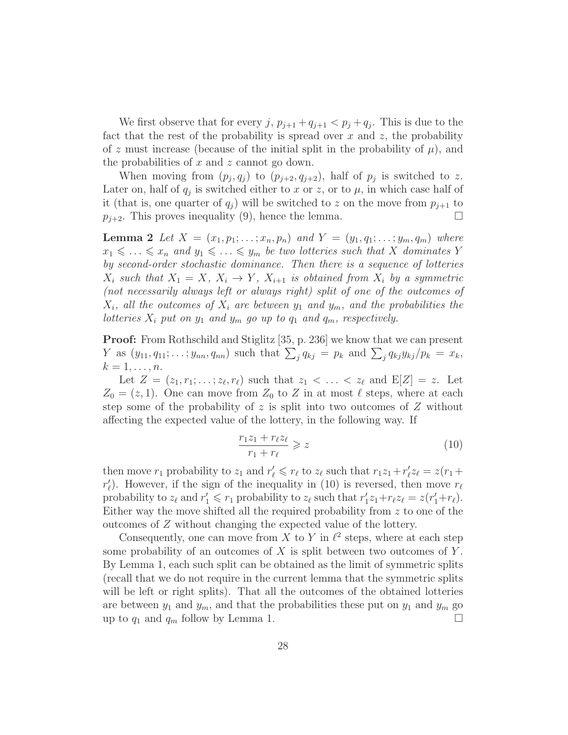We first observe that for every  $j, p_{j+1} + q_{j+1} < p_j + q_j$ . This is due to the fact that the rest of the probability is spread over x and z, the probability of z must increase (because of the initial split in the probability of  $\mu$ ), and the probabilities of  $x$  and  $z$  cannot go down.

When moving from  $(p_j, q_j)$  to  $(p_{j+2}, q_{j+2})$ , half of  $p_j$  is switched to z. Later on, half of  $q_j$  is switched either to x or z, or to  $\mu$ , in which case half of it (that is, one quarter of  $q_i$ ) will be switched to z on the move from  $p_{i+1}$  to  $p_{j+2}$ . This proves inequality (9), hence the lemma.

**Lemma 2** Let  $X = (x_1, p_1; \ldots; x_n, p_n)$  and  $Y = (y_1, q_1; \ldots; y_m, q_m)$  where  $x_1 \leq \ldots \leq x_n$  and  $y_1 \leq \ldots \leq y_m$  be two lotteries such that X dominates Y by second-order stochastic dominance. Then there is a sequence of lotteries  $X_i$  such that  $X_1 = X$ ,  $X_i \rightarrow Y$ ,  $X_{i+1}$  is obtained from  $X_i$  by a symmetric (not necessarily always left or always right) split of one of the outcomes of  $X_i$ , all the outcomes of  $X_i$  are between  $y_1$  and  $y_m$ , and the probabilities the lotteries  $X_i$  put on  $y_1$  and  $y_m$  go up to  $q_1$  and  $q_m$ , respectively.

**Proof:** From Rothschild and Stiglitz [35, p. 236] we know that we can present Y as  $(y_{11}, q_{11}; \ldots; y_{nn}, q_{nn})$  such that  $\sum_j q_{kj} = p_k$  and  $\sum_j q_{kj} y_{kj} / p_k = x_k$ ,  $k=1,\ldots,n$ .

Let  $Z = (z_1, r_1; \ldots; z_\ell, r_\ell)$  such that  $z_1 < \ldots < z_\ell$  and  $E[Z] = z$ . Let  $Z_0 = (z, 1)$ . One can move from  $Z_0$  to Z in at most  $\ell$  steps, where at each step some of the probability of z is split into two outcomes of  $Z$  without affecting the expected value of the lottery, in the following way. If

$$
\frac{r_1 z_1 + r_\ell z_\ell}{r_1 + r_\ell} \geqslant z \tag{10}
$$

then move  $r_1$  probability to  $z_1$  and  $r'_\ell \leq r_\ell$  to  $z_\ell$  such that  $r_1z_1+r'_\ell z_\ell=z(r_1+\ell_2)$  $r'_{\ell}$ ). However, if the sign of the inequality in (10) is reversed, then move  $r_{\ell}$ probability to  $z_{\ell}$  and  $r'_1 \leq r_1$  probability to  $z_{\ell}$  such that  $r'_1 z_1 + r_{\ell} z_{\ell} = z(r'_1 + r_{\ell}).$ Either way the move shifted all the required probability from  $z$  to one of the outcomes of Z without changing the expected value of the lottery.

Consequently, one can move from X to Y in  $\ell^2$  steps, where at each step some probability of an outcomes of  $X$  is split between two outcomes of  $Y$ . By Lemma 1, each such split can be obtained as the limit of symmetric splits (recall that we do not require in the current lemma that the symmetric splits will be left or right splits). That all the outcomes of the obtained lotteries are between  $y_1$  and  $y_m$ , and that the probabilities these put on  $y_1$  and  $y_m$  go up to  $q_1$  and  $q_m$  follow by Lemma 1.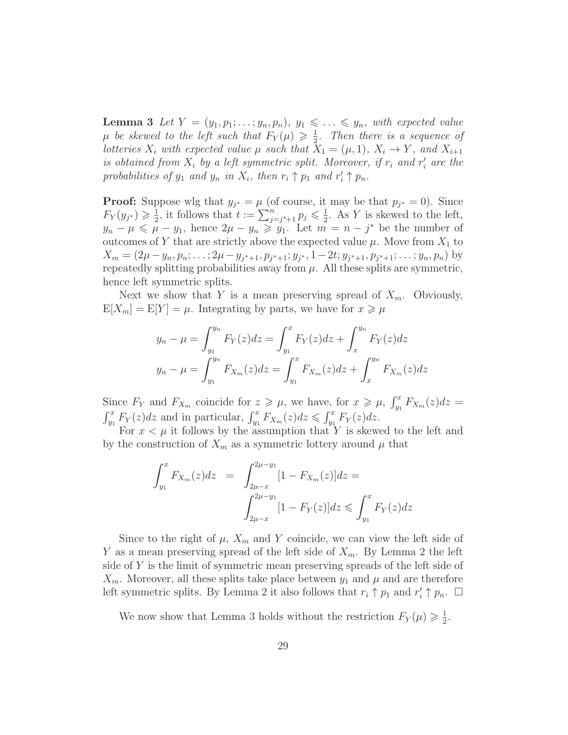**Lemma 3** Let  $Y = (y_1, p_1; \ldots; y_n, p_n), y_1 \leq \ldots \leq y_n$ , with expected value  $\mu$  be skewed to the left such that  $F_Y(\mu) \geq \frac{1}{2}$  $\frac{1}{2}$ . Then there is a sequence of lotteries  $X_i$  with expected value  $\mu$  such that  $\bar{X}_1 = (\mu, 1), X_i \to Y$ , and  $X_{i+1}$ is obtained from  $X_i$  by a left symmetric split. Moreover, if  $r_i$  and  $r'_i$  are the probabilities of  $y_1$  and  $y_n$  in  $X_i$ , then  $r_i \uparrow p_1$  and  $r'_i \uparrow p_n$ .

**Proof:** Suppose wlg that  $y_{j^*} = \mu$  (of course, it may be that  $p_{j^*} = 0$ ). Since  $F_Y(y_{j^*}) \geqslant \frac{1}{2}$  $\frac{1}{2}$ , it follows that  $t := \sum_{j=j^*+1}^{n} p_j \leq \frac{1}{2}$  $\frac{1}{2}$ . As Y is skewed to the left,  $y_n - \mu \leqslant \mu - y_1$ , hence  $2\mu - y_n \geqslant y_1$ . Let  $m = n - j^*$  be the number of outcomes of Y that are strictly above the expected value  $\mu$ . Move from  $X_1$  to  $X_m = (2\mu - y_n, p_n; \ldots; 2\mu - y_{j^*+1}, p_{j^*+1}; y_{j^*}, 1 - 2t; y_{j^*+1}, p_{j^*+1}; \ldots; y_n, p_n)$  by repeatedly splitting probabilities away from  $\mu$ . All these splits are symmetric, hence left symmetric splits.

Next we show that Y is a mean preserving spread of  $X_m$ . Obviously,  $E[X_m] = E[Y] = \mu$ . Integrating by parts, we have for  $x \geq \mu$ 

$$
y_n - \mu = \int_{y_1}^{y_n} F_Y(z) dz = \int_{y_1}^{x} F_Y(z) dz + \int_{x}^{y_n} F_Y(z) dz
$$
  

$$
y_n - \mu = \int_{y_1}^{y_n} F_{X_m}(z) dz = \int_{y_1}^{x} F_{X_m}(z) dz + \int_{x}^{y_n} F_{X_m}(z) dz
$$

Since  $F_Y$  and  $F_{X_m}$  coincide for  $z \geq \mu$ , we have, for  $x \geq \mu$ ,  $\int_{y_1}^x F_{X_m}(z) dz =$  $\int_{y_1}^x F_Y(z)dz$  and in particular,  $\int_{y_1}^x F_{X_m}(z)dz \leq \int_{y_1}^x F_Y(z)dz$ .

For  $x < \mu$  it follows by the assumption that Y is skewed to the left and by the construction of  $X_m$  as a symmetric lottery around  $\mu$  that

$$
\int_{y_1}^{x} F_{X_m}(z) dz = \int_{2\mu - x}^{2\mu - y_1} [1 - F_{X_m}(z)] dz =
$$

$$
\int_{2\mu - x}^{2\mu - y_1} [1 - F_Y(z)] dz \le \int_{y_1}^{x} F_Y(z) dz
$$

Since to the right of  $\mu$ ,  $X_m$  and Y coincide, we can view the left side of Y as a mean preserving spread of the left side of  $X_m$ . By Lemma 2 the left side of Y is the limit of symmetric mean preserving spreads of the left side of  $X_m$ . Moreover, all these splits take place between  $y_1$  and  $\mu$  and are therefore left symmetric splits. By Lemma 2 it also follows that  $r_i \uparrow p_1$  and  $r'_i \uparrow p_n$ .  $\Box$ 

We now show that Lemma 3 holds without the restriction  $F_Y(\mu) \geq \frac{1}{2}$  $\frac{1}{2}$ .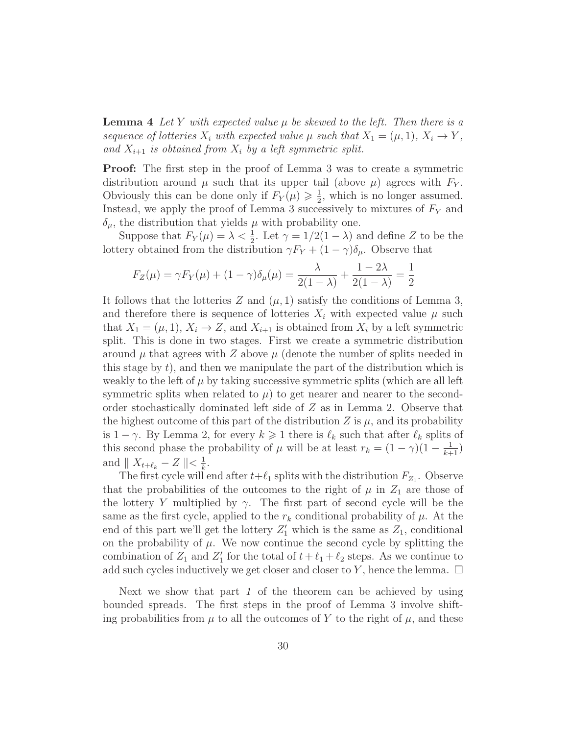**Lemma 4** Let Y with expected value  $\mu$  be skewed to the left. Then there is a sequence of lotteries  $X_i$  with expected value  $\mu$  such that  $X_1 = (\mu, 1), X_i \to Y$ , and  $X_{i+1}$  is obtained from  $X_i$  by a left symmetric split.

Proof: The first step in the proof of Lemma 3 was to create a symmetric distribution around  $\mu$  such that its upper tail (above  $\mu$ ) agrees with  $F_Y$ . Obviously this can be done only if  $F_Y(\mu) \geq \frac{1}{2}$  $\frac{1}{2}$ , which is no longer assumed. Instead, we apply the proof of Lemma 3 successively to mixtures of  $F<sub>Y</sub>$  and  $\delta_{\mu}$ , the distribution that yields  $\mu$  with probability one.

Suppose that  $F_Y(\mu) = \lambda < \frac{1}{2}$ . Let  $\gamma = 1/2(1 - \lambda)$  and define Z to be the lottery obtained from the distribution  $\gamma F_Y + (1 - \gamma)\delta_\mu$ . Observe that

$$
F_Z(\mu) = \gamma F_Y(\mu) + (1 - \gamma)\delta_\mu(\mu) = \frac{\lambda}{2(1 - \lambda)} + \frac{1 - 2\lambda}{2(1 - \lambda)} = \frac{1}{2}
$$

It follows that the lotteries Z and  $(\mu, 1)$  satisfy the conditions of Lemma 3, and therefore there is sequence of lotteries  $X_i$  with expected value  $\mu$  such that  $X_1 = (\mu, 1), X_i \to Z$ , and  $X_{i+1}$  is obtained from  $X_i$  by a left symmetric split. This is done in two stages. First we create a symmetric distribution around  $\mu$  that agrees with Z above  $\mu$  (denote the number of splits needed in this stage by  $t$ , and then we manipulate the part of the distribution which is weakly to the left of  $\mu$  by taking successive symmetric splits (which are all left symmetric splits when related to  $\mu$ ) to get nearer and nearer to the secondorder stochastically dominated left side of Z as in Lemma 2. Observe that the highest outcome of this part of the distribution Z is  $\mu$ , and its probability is  $1 - \gamma$ . By Lemma 2, for every  $k \geq 1$  there is  $\ell_k$  such that after  $\ell_k$  splits of this second phase the probability of  $\mu$  will be at least  $r_k = (1 - \gamma)(1 - \frac{1}{k+1})$ and  $\parallel X_{t+\ell_k} - Z \parallel < \frac{1}{k}$  $\frac{1}{k}$ .

The first cycle will end after  $t+\ell_1$  splits with the distribution  $F_{Z_1}$ . Observe that the probabilities of the outcomes to the right of  $\mu$  in  $Z_1$  are those of the lottery Y multiplied by  $\gamma$ . The first part of second cycle will be the same as the first cycle, applied to the  $r_k$  conditional probability of  $\mu$ . At the end of this part we'll get the lottery  $Z'_1$  which is the same as  $Z_1$ , conditional on the probability of  $\mu$ . We now continue the second cycle by splitting the combination of  $Z_1$  and  $Z'_1$  for the total of  $t + \ell_1 + \ell_2$  steps. As we continue to add such cycles inductively we get closer and closer to Y, hence the lemma.  $\Box$ 

Next we show that part  $1$  of the theorem can be achieved by using bounded spreads. The first steps in the proof of Lemma 3 involve shifting probabilities from  $\mu$  to all the outcomes of Y to the right of  $\mu$ , and these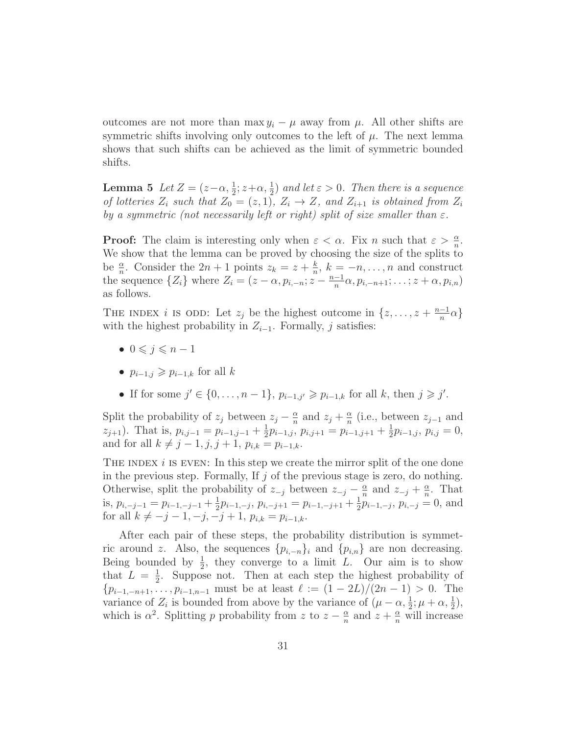outcomes are not more than max  $y_i - \mu$  away from  $\mu$ . All other shifts are symmetric shifts involving only outcomes to the left of  $\mu$ . The next lemma shows that such shifts can be achieved as the limit of symmetric bounded shifts.

**Lemma 5** Let  $Z = (z-\alpha, \frac{1}{2}; z+\alpha, \frac{1}{2})$  and let  $\varepsilon > 0$ . Then there is a sequence of lotteries  $Z_i$  such that  $Z_0 = (z, 1), Z_i \rightarrow Z$ , and  $Z_{i+1}$  is obtained from  $Z_i$ by a symmetric (not necessarily left or right) split of size smaller than  $\varepsilon$ .

**Proof:** The claim is interesting only when  $\varepsilon < \alpha$ . Fix n such that  $\varepsilon > \frac{\alpha}{n}$ . We show that the lemma can be proved by choosing the size of the splits to be  $\frac{\alpha}{n}$ . Consider the  $2n + 1$  points  $z_k = z + \frac{k}{n}$  $\frac{k}{n}$ ,  $k = -n, \ldots, n$  and construct the sequence  $\{Z_i\}$  where  $Z_i = (z - \alpha, p_{i,-n}; z - \frac{n-1}{n})$  $\frac{-1}{n}\alpha, p_{i,-n+1}; \ldots; z+\alpha, p_{i,n})$ as follows.

THE INDEX *i* IS ODD: Let  $z_j$  be the highest outcome in  $\{z, \ldots, z + \frac{n-1}{n}\}$  $\frac{-1}{n}\alpha\}$ with the highest probability in  $Z_{i-1}$ . Formally, j satisfies:

- $0 \leq i \leq n-1$
- $p_{i-1,j} \geqslant p_{i-1,k}$  for all k
- If for some  $j' \in \{0, ..., n-1\}$ ,  $p_{i-1,j'} \geq p_{i-1,k}$  for all k, then  $j \geq j'$ .

Split the probability of  $z_j$  between  $z_j - \frac{\alpha}{n}$  $\frac{\alpha}{n}$  and  $z_j + \frac{\alpha}{n}$  $\frac{\alpha}{n}$  (i.e., between  $z_{j-1}$  and  $z_{j+1}$ ). That is,  $p_{i,j-1} = p_{i-1,j-1} + \frac{1}{2}$  $\frac{1}{2}p_{i-1,j}, p_{i,j+1} = p_{i-1,j+1} + \frac{1}{2}$  $\frac{1}{2}p_{i-1,j}, p_{i,j}=0,$ and for all  $k \neq j - 1, j, j + 1, p_{i,k} = p_{i-1,k}$ .

THE INDEX  $i$  is EVEN: In this step we create the mirror split of the one done in the previous step. Formally, If  $j$  of the previous stage is zero, do nothing. Otherwise, split the probability of  $z_{-j}$  between  $z_{-j} - \frac{\alpha}{n}$  $\frac{\alpha}{n}$  and  $z_{-j} + \frac{\alpha}{n}$  $\frac{\alpha}{n}$ . That is,  $p_{i,-j-1} = p_{i-1,-j-1} + \frac{1}{2}$  $\frac{1}{2}p_{i-1,-j}, p_{i,-j+1} = p_{i-1,-j+1} + \frac{1}{2}$  $\frac{1}{2}p_{i-1,-j}, p_{i,-j} = 0$ , and for all  $k \neq -j - 1, -j, -j + 1, p_{i,k} = p_{i-1,k}$ .

After each pair of these steps, the probability distribution is symmetric around z. Also, the sequences  $\{p_{i,-n}\}_i$  and  $\{p_{i,n}\}\$ are non decreasing. Being bounded by  $\frac{1}{2}$ , they converge to a limit L. Our aim is to show that  $L = \frac{1}{2}$  $\frac{1}{2}$ . Suppose not. Then at each step the highest probability of  ${p_{i-1,-n+1}, \ldots, p_{i-1,n-1}}$  must be at least  $\ell := (1 - 2L)/(2n - 1) > 0$ . The variance of  $Z_i$  is bounded from above by the variance of  $(\mu - \alpha, \frac{1}{2}; \mu + \alpha, \frac{1}{2})$ , which is  $\alpha^2$ . Splitting p probability from z to  $z - \frac{\alpha}{n}$  $\frac{\alpha}{n}$  and  $z + \frac{\alpha}{n}$  will increase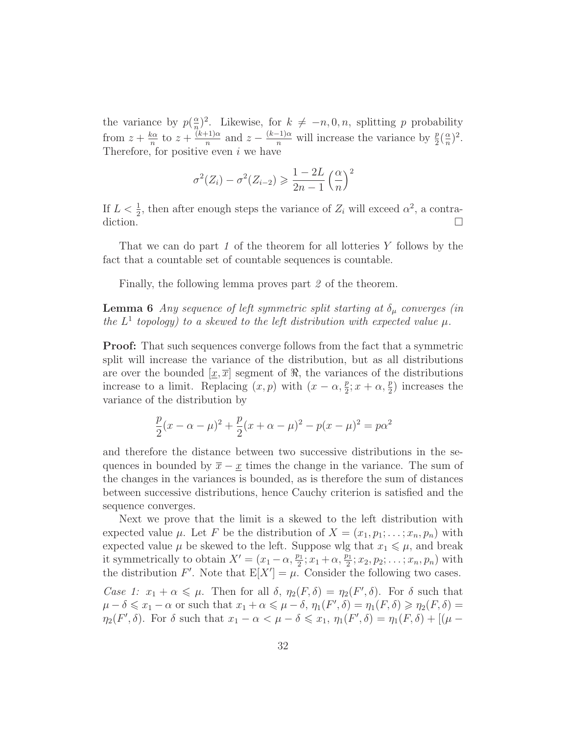the variance by  $p(\frac{\alpha}{n})$  $\frac{\alpha}{n}$ <sup>2</sup>. Likewise, for  $k \neq -n, 0, n$ , splitting p probability from  $z + \frac{k\alpha}{n}$  $rac{\alpha}{n}$  to  $z + \frac{(k+1)\alpha}{n}$ <sup> $\frac{(-1)\alpha}{n}$ </sup> and  $z - \frac{(k-1)\alpha}{n}$  will increase the variance by  $\frac{p}{2}(\frac{\alpha}{n})$  $\frac{\alpha}{n})^2$ . Therefore, for positive even  $i$  we have

$$
\sigma^{2}(Z_{i}) - \sigma^{2}(Z_{i-2}) \geqslant \frac{1 - 2L}{2n - 1} \left(\frac{\alpha}{n}\right)^{2}
$$

If  $L < \frac{1}{2}$ , then after enough steps the variance of  $Z_i$  will exceed  $\alpha^2$ , a contradiction.  $\Box$ 

That we can do part 1 of the theorem for all lotteries  $Y$  follows by the fact that a countable set of countable sequences is countable.

Finally, the following lemma proves part 2 of the theorem.

**Lemma 6** Any sequence of left symmetric split starting at  $\delta_{\mu}$  converges (in the  $L^1$  topology) to a skewed to the left distribution with expected value  $\mu$ .

Proof: That such sequences converge follows from the fact that a symmetric split will increase the variance of the distribution, but as all distributions are over the bounded  $[x, \overline{x}]$  segment of  $\Re$ , the variances of the distributions increase to a limit. Replacing  $(x, p)$  with  $(x - \alpha, \frac{p}{2}; x + \alpha, \frac{p}{2})$  increases the variance of the distribution by

$$
\frac{p}{2}(x - \alpha - \mu)^2 + \frac{p}{2}(x + \alpha - \mu)^2 - p(x - \mu)^2 = p\alpha^2
$$

and therefore the distance between two successive distributions in the sequences in bounded by  $\bar{x} - x$  times the change in the variance. The sum of the changes in the variances is bounded, as is therefore the sum of distances between successive distributions, hence Cauchy criterion is satisfied and the sequence converges.

Next we prove that the limit is a skewed to the left distribution with expected value  $\mu$ . Let F be the distribution of  $X = (x_1, p_1; \ldots; x_n, p_n)$  with expected value  $\mu$  be skewed to the left. Suppose wlg that  $x_1 \leq \mu$ , and break it symmetrically to obtain  $X' = (x_1 - \alpha, \frac{p_1}{2}; x_1 + \alpha, \frac{p_1}{2}; x_2, p_2; \dots; x_n, p_n)$  with the distribution F'. Note that  $E[X'] = \mu$ . Consider the following two cases.

Case 1:  $x_1 + \alpha \leq \mu$ . Then for all  $\delta$ ,  $\eta_2(F, \delta) = \eta_2(F', \delta)$ . For  $\delta$  such that  $\mu - \delta \leqslant x_1 - \alpha$  or such that  $x_1 + \alpha \leqslant \mu - \delta$ ,  $\eta_1(F', \delta) = \eta_1(F, \delta) \geqslant \eta_2(F, \delta) =$  $\eta_2(F',\delta)$ . For  $\delta$  such that  $x_1 - \alpha < \mu - \delta \leqslant x_1, \eta_1(F',\delta) = \eta_1(F,\delta) + [(\mu - \delta) + (\mu - \delta) + (\mu - \delta)]$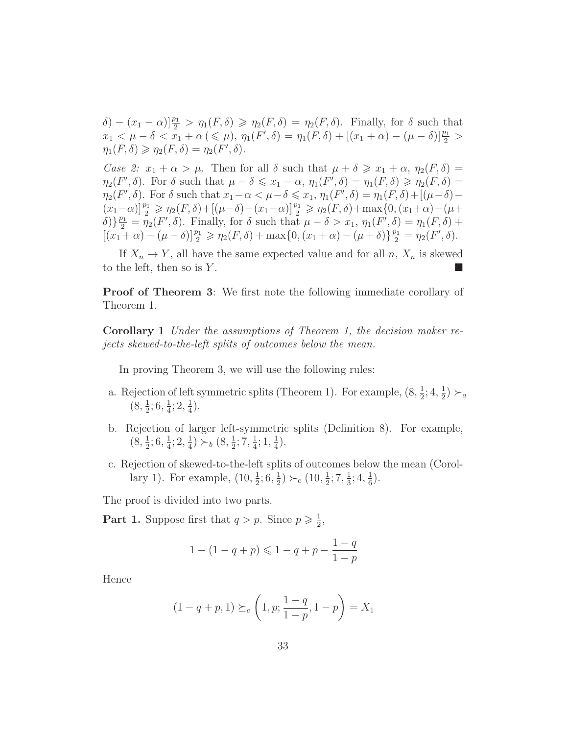$\delta$ ) –  $(x_1 - \alpha)$ ] $\frac{p_1}{2} > \eta_1(F, \delta) \ge \eta_2(F, \delta) = \eta_2(F, \delta)$ . Finally, for  $\delta$  such that  $x_1 < \mu - \delta < x_1 + \alpha \left( \leq \mu \right), \, \eta_1(F', \delta) = \eta_1(F, \delta) + \left[ (x_1 + \alpha) - (\mu - \delta) \right] \frac{p_1}{2} >$  $\eta_1(F,\delta) \geqslant \eta_2(F,\delta) = \eta_2(F',\delta).$ 

Case 2:  $x_1 + \alpha > \mu$ . Then for all  $\delta$  such that  $\mu + \delta \geq x_1 + \alpha$ ,  $\eta_2(F, \delta) =$  $\eta_2(F',\delta)$ . For  $\delta$  such that  $\mu-\delta \leqslant x_1-\alpha$ ,  $\eta_1(F',\delta) = \eta_1(F,\delta) \geqslant \eta_2(F,\delta) =$  $\eta_2(F',\delta)$ . For  $\delta$  such that  $x_1-\alpha < \mu-\delta \leqslant x_1, \eta_1(F',\delta) = \eta_1(F,\delta) + [(\mu-\delta) (x_1 - \alpha) \frac{p_1}{2} \geq \eta_2(F, \delta) + [(\mu - \delta) - (x_1 - \alpha)] \frac{p_1}{2} \geq \eta_2(F, \delta) + \max\{0, (x_1 + \alpha) - (\mu + \delta) \}$  $\delta$ )} $\frac{p_1}{2} = \eta_2(F', \delta)$ . Finally, for  $\delta$  such that  $\mu - \delta > x_1$ ,  $\eta_1(F', \delta) = \eta_1(F, \delta) + \delta$  $[(x_1 + \alpha) - (\mu - \delta)]\frac{p_1}{2} \geq \eta_2(F, \delta) + \max\{0, (x_1 + \alpha) - (\mu + \delta)\}\frac{p_1}{2} = \eta_2(F', \delta).$ 

If  $X_n \to Y$ , all have the same expected value and for all n,  $X_n$  is skewed to the left, then so is  $Y$ .

**Proof of Theorem 3:** We first note the following immediate corollary of Theorem 1.

Corollary 1 Under the assumptions of Theorem 1, the decision maker rejects skewed-to-the-left splits of outcomes below the mean.

In proving Theorem 3, we will use the following rules:

- a. Rejection of left symmetric splits (Theorem 1). For example,  $(8, \frac{1}{2})$  $\frac{1}{2}$ ; 4,  $\frac{1}{2}$  $(\frac{1}{2})\succ_a$  $(8, \frac{1}{2})$  $\frac{1}{2}$ ; 6,  $\frac{1}{4}$  $\frac{1}{4}$ ; 2,  $\frac{1}{4}$  $\frac{1}{4}$ .
- b. Rejection of larger left-symmetric splits (Definition 8). For example,  $(8, \frac{1}{2})$  $\frac{1}{2}$ ; 6,  $\frac{1}{4}$  $\frac{1}{4}$ ; 2,  $\frac{1}{4}$  $(\frac{1}{4}) \succ_b (8, \frac{1}{2})$  $\frac{1}{2}$ ; 7,  $\frac{1}{4}$  $\frac{1}{4}$ ; 1,  $\frac{1}{4}$  $(\frac{1}{4})$ .
- c. Rejection of skewed-to-the-left splits of outcomes below the mean (Corollary 1). For example,  $(10, \frac{1}{2})$  $\frac{1}{2}$ ; 6,  $\frac{1}{2}$  $(\frac{1}{2}) \succ_c (10, \frac{1}{2})$  $\frac{1}{2}$ ; 7,  $\frac{1}{3}$  $\frac{1}{3}$ ; 4,  $\frac{1}{6}$  $(\frac{1}{6})$ .

The proof is divided into two parts.

**Part 1.** Suppose first that  $q > p$ . Since  $p \geq \frac{1}{2}$  $\frac{1}{2}$ ,

$$
1 - (1 - q + p) \leq 1 - q + p - \frac{1 - q}{1 - p}
$$

Hence

$$
(1 - q + p, 1) \succeq_c \left(1, p; \frac{1 - q}{1 - p}, 1 - p\right) = X_1
$$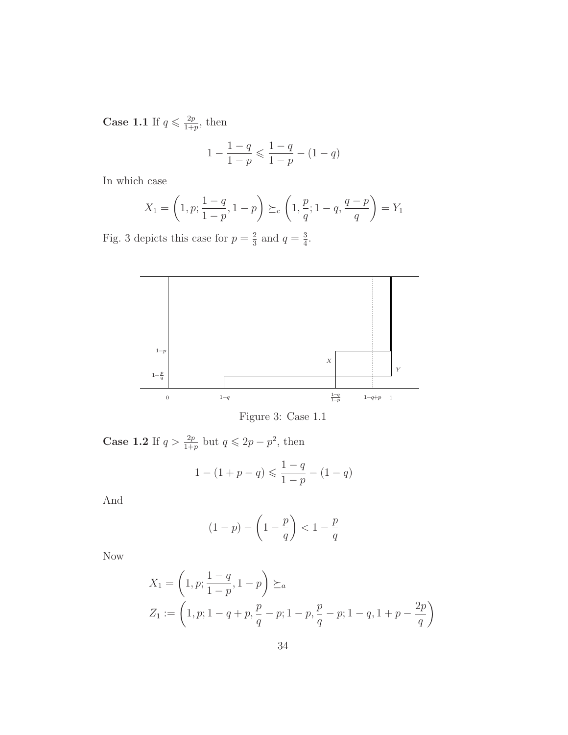Case 1.1 If  $q \leq \frac{2p}{1+r}$  $\frac{2p}{1+p}$ , then

$$
1 - \frac{1 - q}{1 - p} \leqslant \frac{1 - q}{1 - p} - (1 - q)
$$

In which case

$$
X_1 = \left(1, p; \frac{1-q}{1-p}, 1-p\right) \succeq_c \left(1, \frac{p}{q}; 1-q, \frac{q-p}{q}\right) = Y_1
$$

Fig. 3 depicts this case for  $p=\frac{2}{3}$  $rac{2}{3}$  and  $q = \frac{3}{4}$  $\frac{3}{4}$ .



Figure 3: Case 1.1

**Case 1.2** If  $q > \frac{2p}{1+p}$  but  $q \leq 2p - p^2$ , then

$$
1 - (1 + p - q) \leq \frac{1 - q}{1 - p} - (1 - q)
$$

And

$$
(1-p) - \left(1 - \frac{p}{q}\right) < 1 - \frac{p}{q}
$$

Now

$$
X_1 = \left(1, p; \frac{1-q}{1-p}, 1-p\right) \succeq_a
$$
  
\n
$$
Z_1 := \left(1, p; 1-q+p, \frac{p}{q}-p; 1-p, \frac{p}{q}-p; 1-q, 1+p-\frac{2p}{q}\right)
$$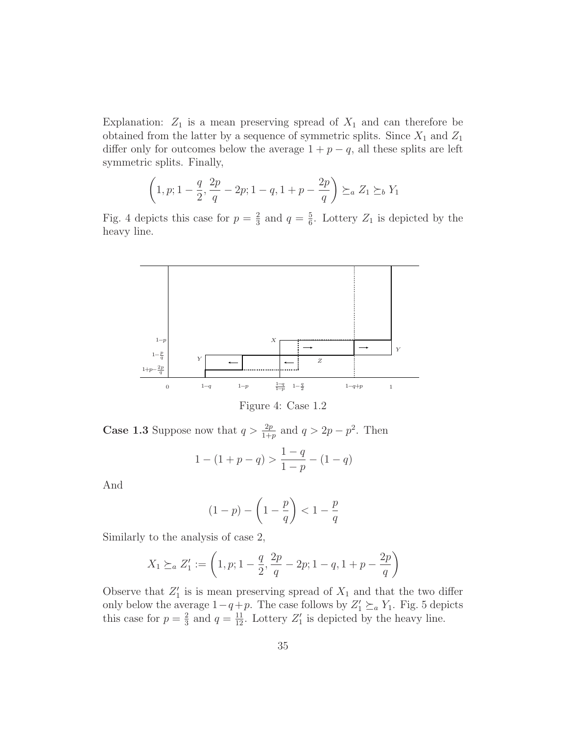Explanation:  $Z_1$  is a mean preserving spread of  $X_1$  and can therefore be obtained from the latter by a sequence of symmetric splits. Since  $X_1$  and  $Z_1$ differ only for outcomes below the average  $1 + p - q$ , all these splits are left symmetric splits. Finally,

$$
\left(1,p;1-\frac{q}{2},\frac{2p}{q}-2p;1-q,1+p-\frac{2p}{q}\right)\succeq_a Z_1 \succeq_b Y_1
$$

Fig. 4 depicts this case for  $p=\frac{2}{3}$  $rac{2}{3}$  and  $q = \frac{5}{6}$  $\frac{5}{6}$ . Lottery  $Z_1$  is depicted by the heavy line.



Figure 4: Case 1.2

**Case 1.3** Suppose now that  $q > \frac{2p}{1+p}$  and  $q > 2p - p^2$ . Then

$$
1 - (1 + p - q) > \frac{1 - q}{1 - p} - (1 - q)
$$

And

$$
(1-p) - \left(1 - \frac{p}{q}\right) < 1 - \frac{p}{q}
$$

Similarly to the analysis of case 2,

$$
X_1 \succeq_a Z'_1 := \left(1, p; 1 - \frac{q}{2}, \frac{2p}{q} - 2p; 1 - q, 1 + p - \frac{2p}{q}\right)
$$

Observe that  $Z'_1$  is is mean preserving spread of  $X_1$  and that the two differ only below the average  $1-q+p$ . The case follows by  $Z'_1 \succeq_a Y_1$ . Fig. 5 depicts this case for  $p=\frac{2}{3}$  $\frac{2}{3}$  and  $q = \frac{11}{12}$ . Lottery  $Z'_1$  is depicted by the heavy line.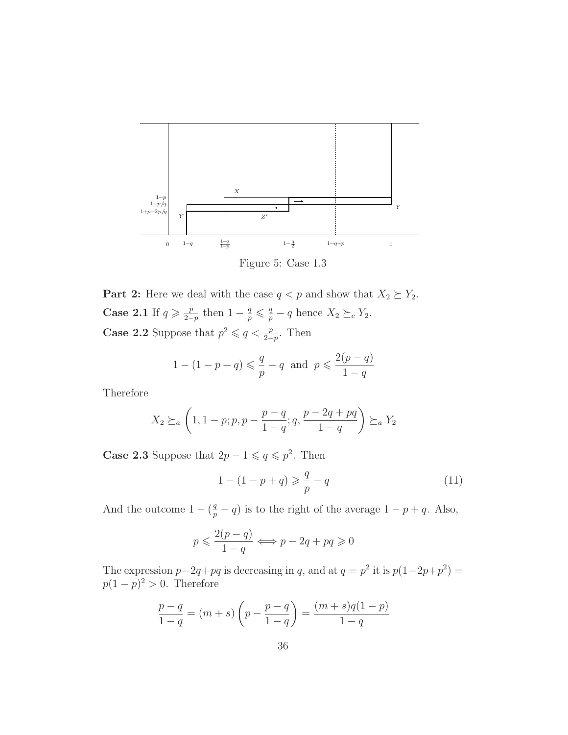

Figure 5: Case 1.3

**Part 2:** Here we deal with the case  $q < p$  and show that  $X_2 \succeq Y_2$ . Case 2.1 If  $q \geq \frac{p}{2-p}$  $\frac{p}{2-p}$  then  $1-\frac{q}{p} \leqslant \frac{q}{p}-q$  hence  $X_2 \succeq_c Y_2$ . **Case 2.2** Suppose that  $p^2 \leq q < \frac{p}{2-p}$ . Then

$$
1 - (1 - p + q) \leq \frac{q}{p} - q
$$
 and  $p \leq \frac{2(p - q)}{1 - q}$ 

Therefore

$$
X_2 \succeq_a \left(1, 1-p; p, p - \frac{p-q}{1-q}; q, \frac{p-2q+pq}{1-q}\right) \succeq_a Y_2
$$

**Case 2.3** Suppose that  $2p - 1 \leq q \leq p^2$ . Then

$$
1 - (1 - p + q) \geq \frac{q}{p} - q \tag{11}
$$

And the outcome  $1 - (\frac{q}{p} - q)$  is to the right of the average  $1 - p + q$ . Also,

$$
p \leqslant \frac{2(p-q)}{1-q} \Longleftrightarrow p - 2q + pq \geqslant 0
$$

The expression  $p-2q+pq$  is decreasing in q, and at  $q=p^2$  it is  $p(1-2p+p^2)$  =  $p(1-p)^2 > 0$ . Therefore

$$
\frac{p-q}{1-q} = (m+s)\left(p - \frac{p-q}{1-q}\right) = \frac{(m+s)q(1-p)}{1-q}
$$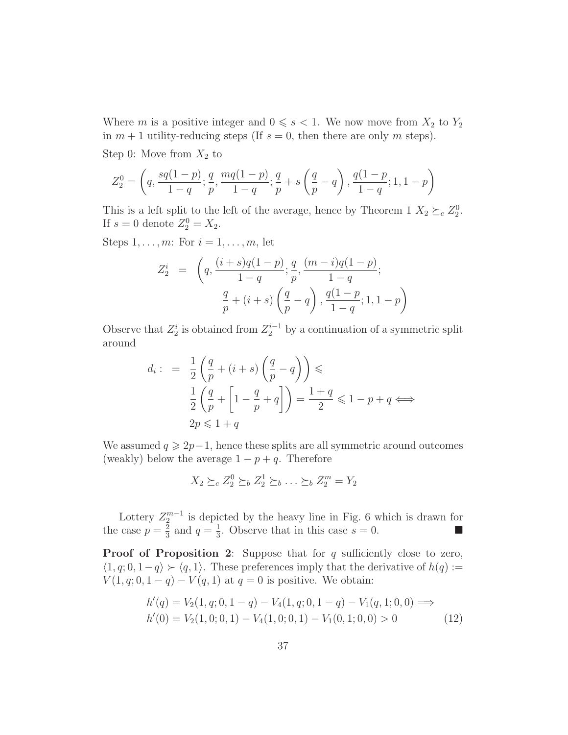Where m is a positive integer and  $0 \le s < 1$ . We now move from  $X_2$  to  $Y_2$ in  $m + 1$  utility-reducing steps (If  $s = 0$ , then there are only m steps).

Step 0: Move from  $X_2$  to

$$
Z_2^0 = \left(q, \frac{sq(1-p)}{1-q}; \frac{q}{p}, \frac{mq(1-p)}{1-q}; \frac{q}{p} + s\left(\frac{q}{p}-q\right), \frac{q(1-p)}{1-q}; 1, 1-p\right)
$$

This is a left split to the left of the average, hence by Theorem 1  $X_2 \succeq_c Z_2^0$ . If  $s = 0$  denote  $Z_2^0 = X_2$ .

Steps  $1, \ldots, m$ : For  $i = 1, \ldots, m$ , let

$$
Z_2^i = \left( q, \frac{(i+s)q(1-p)}{1-q}; \frac{q}{p}, \frac{(m-i)q(1-p)}{1-q}; \frac{q}{p} + (i+s) \left( \frac{q}{p} - q \right), \frac{q(1-p)}{1-q}; 1, 1-p \right)
$$

Observe that  $Z_2^i$  is obtained from  $Z_2^{i-1}$  by a continuation of a symmetric split around

$$
d_i: = \frac{1}{2} \left( \frac{q}{p} + (i+s) \left( \frac{q}{p} - q \right) \right) \leq
$$
  

$$
\frac{1}{2} \left( \frac{q}{p} + \left[ 1 - \frac{q}{p} + q \right] \right) = \frac{1+q}{2} \leq 1 - p + q \iff
$$
  

$$
2p \leq 1 + q
$$

We assumed  $q \geq 2p-1$ , hence these splits are all symmetric around outcomes (weakly) below the average  $1 - p + q$ . Therefore

$$
X_2 \succeq_c Z_2^0 \succeq_b Z_2^1 \succeq_b \ldots \succeq_b Z_2^m = Y_2
$$

Lottery  $Z_2^{m-1}$  is depicted by the heavy line in Fig. 6 which is drawn for the case  $p=\frac{2}{3}$  $rac{2}{3}$  and  $q = \frac{1}{3}$  $\frac{1}{3}$ . Observe that in this case  $s = 0$ .

**Proof of Proposition 2:** Suppose that for  $q$  sufficiently close to zero,  $\langle 1, q; 0, 1-q \rangle \succ \langle q, 1 \rangle$ . These preferences imply that the derivative of  $h(q) :=$  $V(1, q; 0, 1 - q) - V(q, 1)$  at  $q = 0$  is positive. We obtain:

$$
h'(q) = V_2(1, q; 0, 1 - q) - V_4(1, q; 0, 1 - q) - V_1(q, 1; 0, 0) \implies
$$
  

$$
h'(0) = V_2(1, 0; 0, 1) - V_4(1, 0; 0, 1) - V_1(0, 1; 0, 0) > 0
$$
 (12)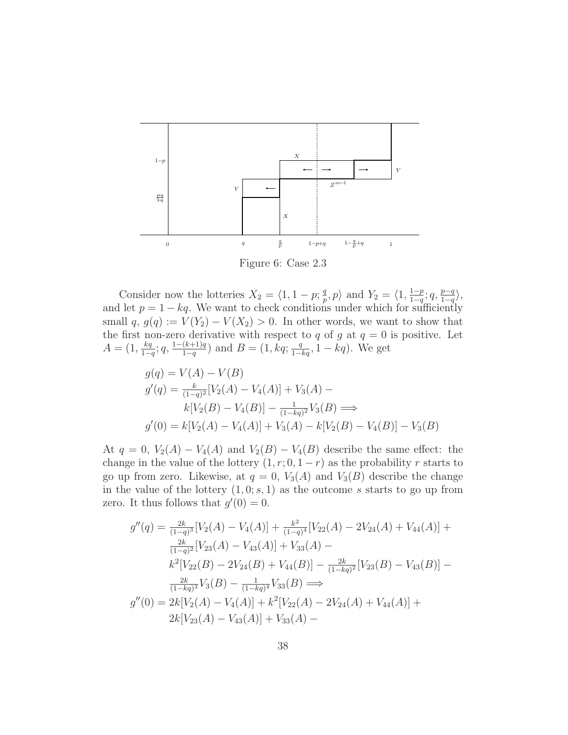

Figure 6: Case 2.3

Consider now the lotteries  $X_2 = \langle 1, 1 - p; \frac{q}{n} \rangle$  $\frac{q}{p}, p$  and  $Y_2 = \langle 1, \frac{1-p}{1-q} \rangle$  $rac{1-p}{1-q}$ ;  $q$ ,  $rac{p-q}{1-q}$ , and let  $p = 1 - kq$ . We want to check conditions under which for sufficiently small  $q, g(q) := V(Y_2) - V(X_2) > 0$ . In other words, we want to show that the first non-zero derivative with respect to q of g at  $q = 0$  is positive. Let  $A = (1, \frac{kq}{1-r})$  $\frac{kq}{1-q}$ ; q,  $\frac{1-(k+1)q}{1-q}$  $\frac{(k+1)q}{1-q}$  and  $B = (1, kq; \frac{q}{1-kq}, 1-kq)$ . We get

$$
g(q) = V(A) - V(B)
$$
  
\n
$$
g'(q) = \frac{k}{(1-q)^2} [V_2(A) - V_4(A)] + V_3(A) -
$$
  
\n
$$
k[V_2(B) - V_4(B)] - \frac{1}{(1-kq)^2} V_3(B) \Longrightarrow
$$
  
\n
$$
g'(0) = k[V_2(A) - V_4(A)] + V_3(A) - k[V_2(B) - V_4(B)] - V_3(B)
$$

At  $q = 0$ ,  $V_2(A) - V_4(A)$  and  $V_2(B) - V_4(B)$  describe the same effect: the change in the value of the lottery  $(1, r; 0, 1 - r)$  as the probability r starts to go up from zero. Likewise, at  $q = 0$ ,  $V_3(A)$  and  $V_3(B)$  describe the change in the value of the lottery  $(1,0; s, 1)$  as the outcome s starts to go up from zero. It thus follows that  $g'(0) = 0$ .

$$
g''(q) = \frac{2k}{(1-q)^3} [V_2(A) - V_4(A)] + \frac{k^2}{(1-q)^4} [V_{22}(A) - 2V_{24}(A) + V_{44}(A)] +
$$
  
\n
$$
\frac{2k}{(1-q)^2} [V_{23}(A) - V_{43}(A)] + V_{33}(A) -
$$
  
\n
$$
k^2 [V_{22}(B) - 2V_{24}(B) + V_{44}(B)] - \frac{2k}{(1-kq)^2} [V_{23}(B) - V_{43}(B)] -
$$
  
\n
$$
\frac{2k}{(1-kq)^3} V_3(B) - \frac{1}{(1-kq)^4} V_{33}(B) \implies
$$
  
\n
$$
g''(0) = 2k[V_2(A) - V_4(A)] + k^2 [V_{22}(A) - 2V_{24}(A) + V_{44}(A)] +
$$
  
\n
$$
2k[V_{23}(A) - V_{43}(A)] + V_{33}(A) -
$$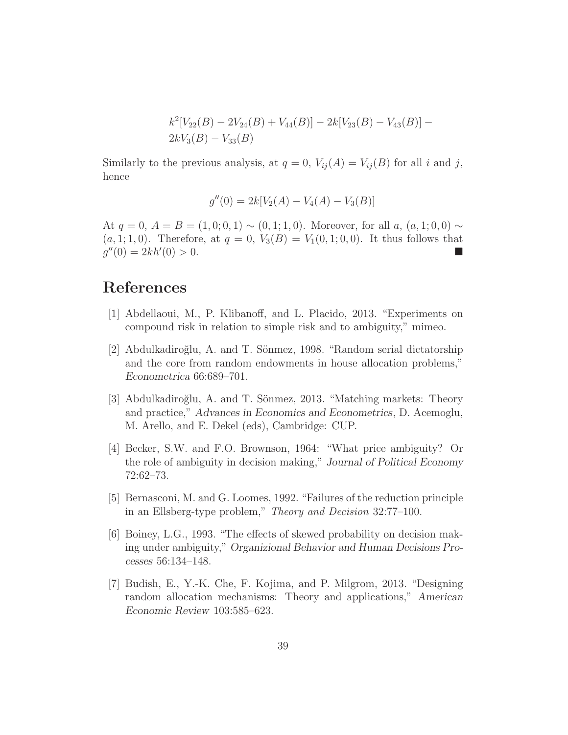$$
k^2[V_{22}(B) - 2V_{24}(B) + V_{44}(B)] - 2k[V_{23}(B) - V_{43}(B)] - 2kV_3(B) - V_{33}(B)
$$

Similarly to the previous analysis, at  $q = 0$ ,  $V_{ij}(A) = V_{ij}(B)$  for all i and j, hence

$$
g''(0) = 2k[V_2(A) - V_4(A) - V_3(B)]
$$

At  $q = 0$ ,  $A = B = (1, 0, 0, 1) \sim (0, 1, 1, 0)$ . Moreover, for all a,  $(a, 1, 0, 0) \sim$  $(a, 1; 1, 0)$ . Therefore, at  $q = 0$ ,  $V_3(B) = V_1(0, 1; 0, 0)$ . It thus follows that  $g''(0) = 2kh'$  $(0) > 0.$ 

# References

- [1] Abdellaoui, M., P. Klibanoff, and L. Placido, 2013. "Experiments on compound risk in relation to simple risk and to ambiguity," mimeo.
- [2] Abdulkadiroğlu, A. and T. Sönmez, 1998. "Random serial dictatorship and the core from random endowments in house allocation problems," Econometrica 66:689–701.
- [3] Abdulkadiroğlu, A. and T. Sönmez, 2013. "Matching markets: Theory and practice," Advances in Economics and Econometrics, D. Acemoglu, M. Arello, and E. Dekel (eds), Cambridge: CUP.
- [4] Becker, S.W. and F.O. Brownson, 1964: "What price ambiguity? Or the role of ambiguity in decision making," Journal of Political Economy 72:62–73.
- [5] Bernasconi, M. and G. Loomes, 1992. "Failures of the reduction principle in an Ellsberg-type problem," Theory and Decision 32:77–100.
- [6] Boiney, L.G., 1993. "The effects of skewed probability on decision making under ambiguity," Organizional Behavior and Human Decisions Processes 56:134–148.
- [7] Budish, E., Y.-K. Che, F. Kojima, and P. Milgrom, 2013. "Designing random allocation mechanisms: Theory and applications," American Economic Review 103:585–623.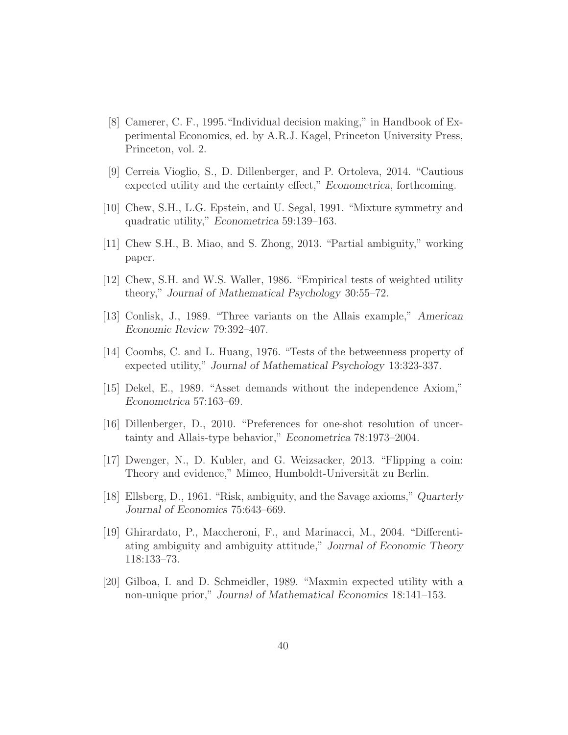- [8] Camerer, C. F., 1995."Individual decision making," in Handbook of Experimental Economics, ed. by A.R.J. Kagel, Princeton University Press, Princeton, vol. 2.
- [9] Cerreia Vioglio, S., D. Dillenberger, and P. Ortoleva, 2014. "Cautious expected utility and the certainty effect," Econometrica, forthcoming.
- [10] Chew, S.H., L.G. Epstein, and U. Segal, 1991. "Mixture symmetry and quadratic utility," Econometrica 59:139–163.
- [11] Chew S.H., B. Miao, and S. Zhong, 2013. "Partial ambiguity," working paper.
- [12] Chew, S.H. and W.S. Waller, 1986. "Empirical tests of weighted utility theory," Journal of Mathematical Psychology 30:55–72.
- [13] Conlisk, J., 1989. "Three variants on the Allais example," American Economic Review 79:392–407.
- [14] Coombs, C. and L. Huang, 1976. "Tests of the betweenness property of expected utility," Journal of Mathematical Psychology 13:323-337.
- [15] Dekel, E., 1989. "Asset demands without the independence Axiom," Econometrica 57:163–69.
- [16] Dillenberger, D., 2010. "Preferences for one-shot resolution of uncertainty and Allais-type behavior," Econometrica 78:1973–2004.
- [17] Dwenger, N., D. Kubler, and G. Weizsacker, 2013. "Flipping a coin: Theory and evidence," Mimeo, Humboldt-Universität zu Berlin.
- [18] Ellsberg, D., 1961. "Risk, ambiguity, and the Savage axioms," Quarterly Journal of Economics 75:643–669.
- [19] Ghirardato, P., Maccheroni, F., and Marinacci, M., 2004. "Differentiating ambiguity and ambiguity attitude," Journal of Economic Theory 118:133–73.
- [20] Gilboa, I. and D. Schmeidler, 1989. "Maxmin expected utility with a non-unique prior," Journal of Mathematical Economics 18:141–153.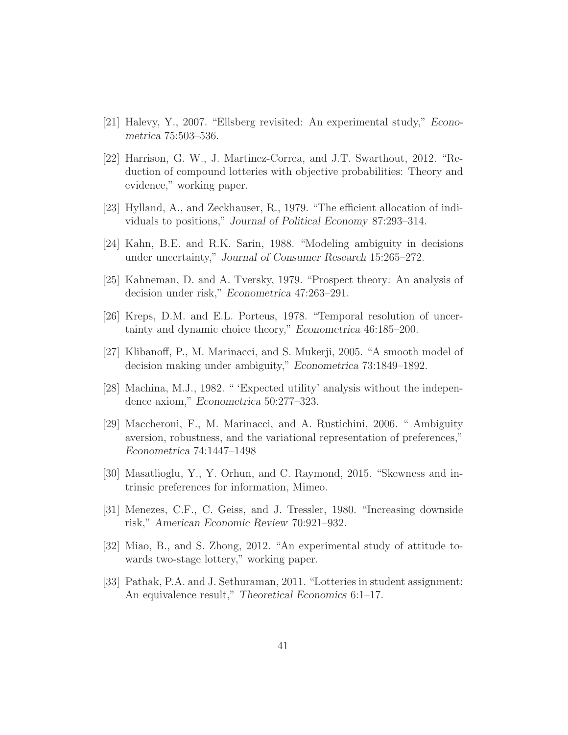- [21] Halevy, Y., 2007. "Ellsberg revisited: An experimental study," Econometrica 75:503–536.
- [22] Harrison, G. W., J. Martinez-Correa, and J.T. Swarthout, 2012. "Reduction of compound lotteries with objective probabilities: Theory and evidence," working paper.
- [23] Hylland, A., and Zeckhauser, R., 1979. "The efficient allocation of individuals to positions," Journal of Political Economy 87:293–314.
- [24] Kahn, B.E. and R.K. Sarin, 1988. "Modeling ambiguity in decisions under uncertainty," Journal of Consumer Research 15:265–272.
- [25] Kahneman, D. and A. Tversky, 1979. "Prospect theory: An analysis of decision under risk," Econometrica 47:263–291.
- [26] Kreps, D.M. and E.L. Porteus, 1978. "Temporal resolution of uncertainty and dynamic choice theory," Econometrica 46:185–200.
- [27] Klibanoff, P., M. Marinacci, and S. Mukerji, 2005. "A smooth model of decision making under ambiguity," Econometrica 73:1849–1892.
- [28] Machina, M.J., 1982. " 'Expected utility' analysis without the independence axiom," Econometrica 50:277–323.
- [29] Maccheroni, F., M. Marinacci, and A. Rustichini, 2006. " Ambiguity aversion, robustness, and the variational representation of preferences," Econometrica 74:1447–1498
- [30] Masatlioglu, Y., Y. Orhun, and C. Raymond, 2015. "Skewness and intrinsic preferences for information, Mimeo.
- [31] Menezes, C.F., C. Geiss, and J. Tressler, 1980. "Increasing downside risk," American Economic Review 70:921–932.
- [32] Miao, B., and S. Zhong, 2012. "An experimental study of attitude towards two-stage lottery," working paper.
- [33] Pathak, P.A. and J. Sethuraman, 2011. "Lotteries in student assignment: An equivalence result," Theoretical Economics 6:1–17.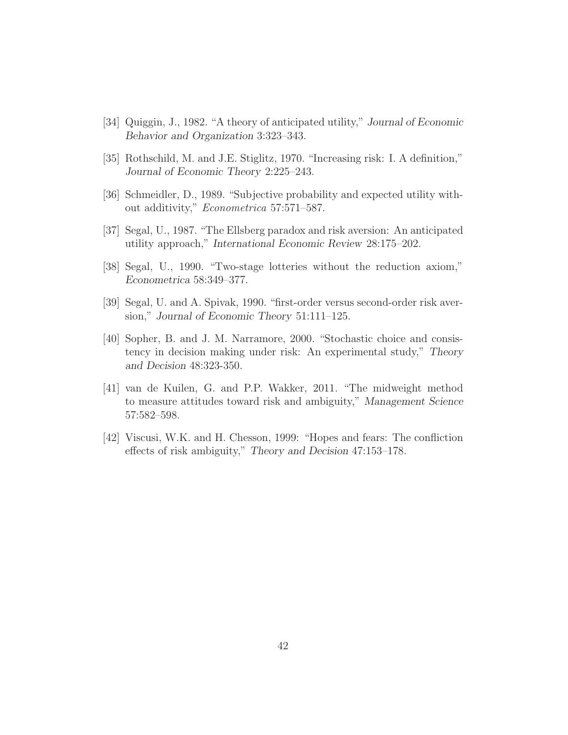- [34] Quiggin, J., 1982. "A theory of anticipated utility," Journal of Economic Behavior and Organization 3:323–343.
- [35] Rothschild, M. and J.E. Stiglitz, 1970. "Increasing risk: I. A definition," Journal of Economic Theory 2:225–243.
- [36] Schmeidler, D., 1989. "Subjective probability and expected utility without additivity," Econometrica 57:571–587.
- [37] Segal, U., 1987. "The Ellsberg paradox and risk aversion: An anticipated utility approach," International Economic Review 28:175–202.
- [38] Segal, U., 1990. "Two-stage lotteries without the reduction axiom," Econometrica 58:349–377.
- [39] Segal, U. and A. Spivak, 1990. "first-order versus second-order risk aversion," Journal of Economic Theory 51:111–125.
- [40] Sopher, B. and J. M. Narramore, 2000. "Stochastic choice and consistency in decision making under risk: An experimental study," Theory and Decision 48:323-350.
- [41] van de Kuilen, G. and P.P. Wakker, 2011. "The midweight method to measure attitudes toward risk and ambiguity," Management Science 57:582–598.
- [42] Viscusi, W.K. and H. Chesson, 1999: "Hopes and fears: The confliction effects of risk ambiguity," Theory and Decision 47:153–178.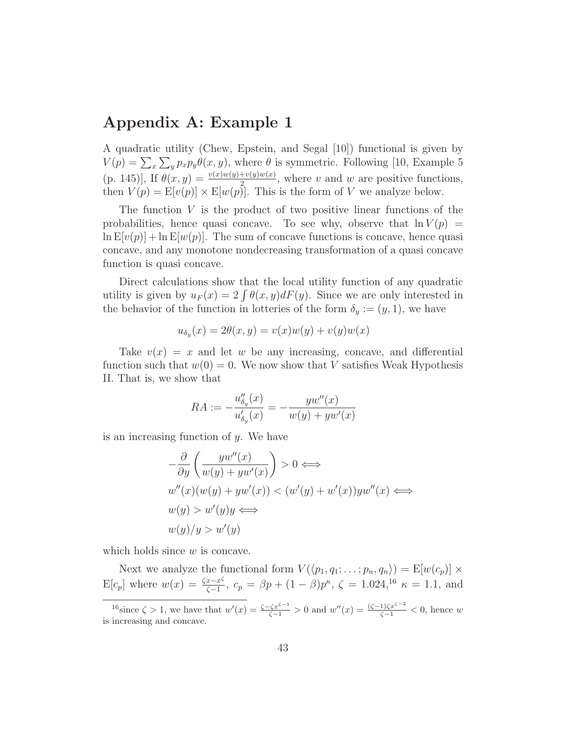# **Appendix A: Example 1**

A quadratic utility (Chew, Epstein, and Segal [10]) functional is given by  $V(p) = \sum_{x} \sum_{y} p_x p_y \theta(x, y)$ , where  $\theta$  is symmetric. Following [10, Example 5 (p. 145)], If  $\theta(x, y) = \frac{v(x)w(y)+v(y)w(x)}{2}$ , where v and w are positive functions, then  $V(p) = E[v(p)] \times E[w(p)]$ . This is the form of V we analyze below.

The function  $V$  is the product of two positive linear functions of the probabilities, hence quasi concave. To see why, observe that  $\ln V(p)$  =  $\ln E[\nu(p)] + \ln E[\nu(p)]$ . The sum of concave functions is concave, hence quasi concave, and any monotone nondecreasing transformation of a quasi concave function is quasi concave.

Direct calculations show that the local utility function of any quadratic utility is given by  $u_F(x)=2 \int \theta(x, y)dF(y)$ . Since we are only interested in the behavior of the function in lotteries of the form  $\delta_y := (y, 1)$ , we have

$$
u_{\delta_y}(x) = 2\theta(x, y) = v(x)w(y) + v(y)w(x)
$$

Take  $v(x) = x$  and let w be any increasing, concave, and differential function such that  $w(0) = 0$ . We now show that V satisfies Weak Hypothesis II. That is, we show that

$$
RA := -\frac{u_{\delta_y}''(x)}{u_{\delta_y}'(x)} = -\frac{yw''(x)}{w(y) + yw'(x)}
$$

is an increasing function of  $y$ . We have

$$
-\frac{\partial}{\partial y} \left( \frac{yw''(x)}{w(y) + yw'(x)} \right) > 0 \iff
$$
  

$$
w''(x)(w(y) + yw'(x)) < (w'(y) + w'(x))yw''(x) \iff
$$
  

$$
w(y) > w'(y)y \iff
$$
  

$$
w(y)/y > w'(y)
$$

which holds since  $w$  is concave.

Next we analyze the functional form  $V(\langle p_1, q_1; \ldots; p_n, q_n \rangle) = \mathbb{E}[w(c_p)] \times$  $E[c_p]$  where  $w(x) = \frac{\zeta x - x^{\zeta}}{\zeta - 1}$ ,  $c_p = \beta p + (1 - \beta)p^{\kappa}$ ,  $\zeta = 1.024$ ,  $^{16}$   $\kappa = 1.1$ , and

<sup>&</sup>lt;sup>16</sup>since  $\zeta > 1$ , we have that  $w'(x) = \frac{\zeta - \zeta x^{\zeta - 1}}{\zeta - 1} > 0$  and  $w''(x) = \frac{(\zeta - 1)\zeta x^{\zeta - 2}}{\zeta - 1} < 0$ , hence w is increasing and concave.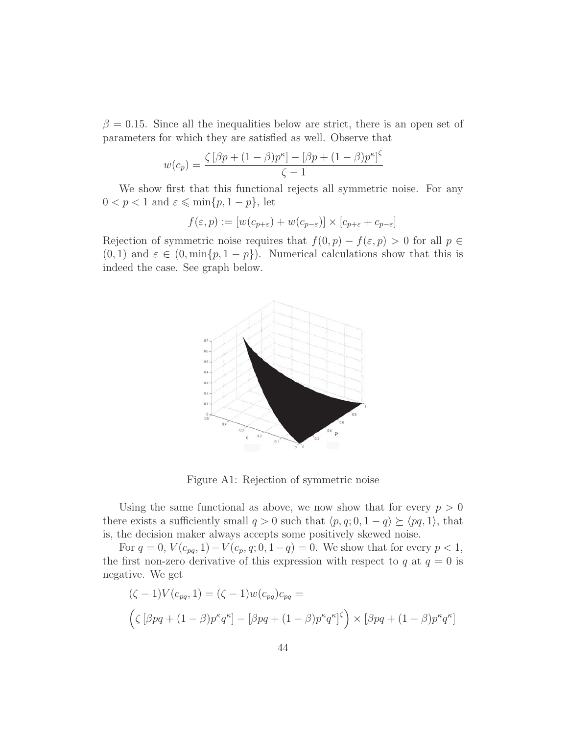$\beta = 0.15$ . Since all the inequalities below are strict, there is an open set of parameters for which they are satisfied as well. Observe that

$$
w(c_p) = \frac{\zeta [\beta p + (1 - \beta)p^{\kappa}] - [\beta p + (1 - \beta)p^{\kappa}]^{\zeta}}{\zeta - 1}
$$

We show first that this functional rejects all symmetric noise. For any  $0 < p < 1$  and  $\varepsilon \leqslant \min\{p, 1 - p\}$ , let

$$
f(\varepsilon, p) := [w(c_{p+\varepsilon}) + w(c_{p-\varepsilon})] \times [c_{p+\varepsilon} + c_{p-\varepsilon}]
$$

Rejection of symmetric noise requires that  $f(0, p) - f(\varepsilon, p) > 0$  for all  $p \in$  $(0, 1)$  and  $\varepsilon \in (0, \min\{p, 1 - p\})$ . Numerical calculations show that this is indeed the case. See graph below.



Figure A1: Rejection of symmetric noise

Using the same functional as above, we now show that for every  $p > 0$ there exists a sufficiently small  $q > 0$  such that  $\langle p, q; 0, 1 - q \rangle \succ \langle pq, 1 \rangle$ , that is, the decision maker always accepts some positively skewed noise.

For  $q = 0$ ,  $V(c_{pq}, 1) - V(c_p, q; 0, 1-q) = 0$ . We show that for every  $p < 1$ , the first non-zero derivative of this expression with respect to q at  $q = 0$  is negative. We get

$$
\begin{aligned} (\zeta - 1)V(c_{pq}, 1) &= (\zeta - 1)w(c_{pq})c_{pq} = \\ \left(\zeta \left[\beta pq + (1 - \beta)p^{\kappa}q^{\kappa}\right] - \left[\beta pq + (1 - \beta)p^{\kappa}q^{\kappa}\right] \zeta\right) \times \left[\beta pq + (1 - \beta)p^{\kappa}q^{\kappa}\right] \end{aligned}
$$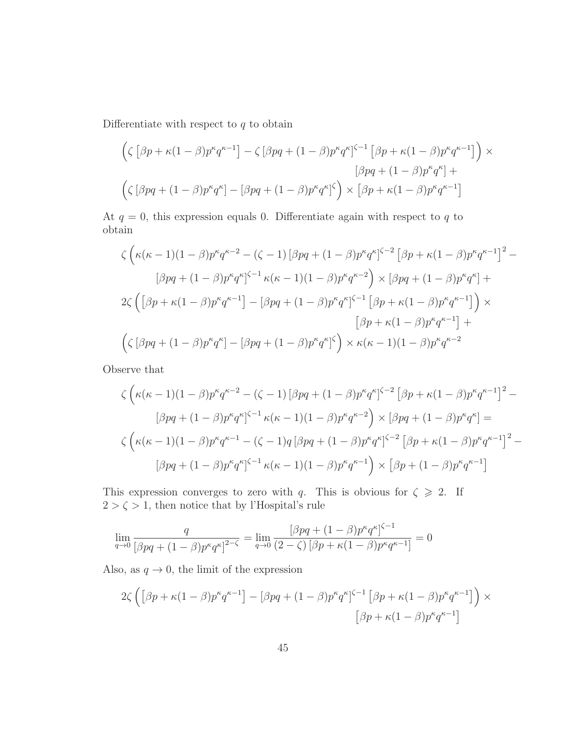Differentiate with respect to  $q$  to obtain

$$
\left(\zeta \left[\beta p + \kappa (1-\beta) p^{\kappa} q^{\kappa-1}\right] - \zeta \left[\beta pq + (1-\beta) p^{\kappa} q^{\kappa}\right]^{\zeta-1} \left[\beta p + \kappa (1-\beta) p^{\kappa} q^{\kappa-1}\right]\right) \times \n\left[\beta pq + (1-\beta) p^{\kappa} q^{\kappa}\right] + \n\left(\zeta \left[\beta pq + (1-\beta) p^{\kappa} q^{\kappa}\right] - \left[\beta pq + (1-\beta) p^{\kappa} q^{\kappa}\right]^{\zeta}\right) \times \left[\beta p + \kappa (1-\beta) p^{\kappa} q^{\kappa-1}\right]
$$

At  $q = 0$ , this expression equals 0. Differentiate again with respect to q to obtain

$$
\zeta \left( \kappa(\kappa - 1)(1 - \beta) p^{\kappa} q^{\kappa - 2} - (\zeta - 1) \left[ \beta p q + (1 - \beta) p^{\kappa} q^{\kappa} \right]^{ \zeta - 2} \left[ \beta p + \kappa (1 - \beta) p^{\kappa} q^{\kappa - 1} \right]^2 -
$$
  

$$
\left[ \beta p q + (1 - \beta) p^{\kappa} q^{\kappa} \right]^{\zeta - 1} \kappa(\kappa - 1)(1 - \beta) p^{\kappa} q^{\kappa - 2} \right) \times \left[ \beta p q + (1 - \beta) p^{\kappa} q^{\kappa} \right] +
$$
  

$$
2 \zeta \left( \left[ \beta p + \kappa (1 - \beta) p^{\kappa} q^{\kappa - 1} \right] - \left[ \beta p q + (1 - \beta) p^{\kappa} q^{\kappa} \right]^{\zeta - 1} \left[ \beta p + \kappa (1 - \beta) p^{\kappa} q^{\kappa - 1} \right] \right) \times
$$
  

$$
\left[ \beta p + \kappa (1 - \beta) p^{\kappa} q^{\kappa - 1} \right] +
$$
  

$$
\left( \zeta \left[ \beta p q + (1 - \beta) p^{\kappa} q^{\kappa} \right] - \left[ \beta p q + (1 - \beta) p^{\kappa} q^{\kappa} \right]^{\zeta} \right) \times \kappa(\kappa - 1)(1 - \beta) p^{\kappa} q^{\kappa - 2}
$$

Observe that

$$
\zeta \left( \kappa (\kappa - 1)(1 - \beta) p^{\kappa} q^{\kappa - 2} - (\zeta - 1) [\beta pq + (1 - \beta) p^{\kappa} q^{\kappa}]^{\zeta - 2} [\beta p + \kappa (1 - \beta) p^{\kappa} q^{\kappa - 1}]^2 -
$$
  

$$
[\beta pq + (1 - \beta) p^{\kappa} q^{\kappa}]^{\zeta - 1} \kappa (\kappa - 1)(1 - \beta) p^{\kappa} q^{\kappa - 2} \right) \times [\beta pq + (1 - \beta) p^{\kappa} q^{\kappa}] =
$$
  

$$
\zeta \left( \kappa (\kappa - 1)(1 - \beta) p^{\kappa} q^{\kappa - 1} - (\zeta - 1) q [\beta pq + (1 - \beta) p^{\kappa} q^{\kappa}]^{\zeta - 2} [\beta p + \kappa (1 - \beta) p^{\kappa} q^{\kappa - 1}]^2 -
$$
  

$$
[\beta pq + (1 - \beta) p^{\kappa} q^{\kappa}]^{\zeta - 1} \kappa (\kappa - 1)(1 - \beta) p^{\kappa} q^{\kappa - 1} \right) \times [\beta p + (1 - \beta) p^{\kappa} q^{\kappa - 1}]
$$

This expression converges to zero with q. This is obvious for  $\zeta \geq 2$ . If  $2>\zeta>1,$  then notice that by l'Hospital's rule

$$
\lim_{q \to 0} \frac{q}{\left[\beta pq + (1 - \beta)p^{\kappa} q^{\kappa}\right]^{2-\zeta}} = \lim_{q \to 0} \frac{\left[\beta pq + (1 - \beta)p^{\kappa} q^{\kappa}\right]^{\zeta - 1}}{(2 - \zeta)\left[\beta p + \kappa(1 - \beta)p^{\kappa} q^{\kappa - 1}\right]} = 0
$$

Also, as  $q \to 0$ , the limit of the expression

$$
2\zeta \left( \left[ \beta p + \kappa (1 - \beta) p^{\kappa} q^{\kappa - 1} \right] - \left[ \beta p q + (1 - \beta) p^{\kappa} q^{\kappa} \right]^{\zeta - 1} \left[ \beta p + \kappa (1 - \beta) p^{\kappa} q^{\kappa - 1} \right] \right) \times \left[ \beta p + \kappa (1 - \beta) p^{\kappa} q^{\kappa - 1} \right]
$$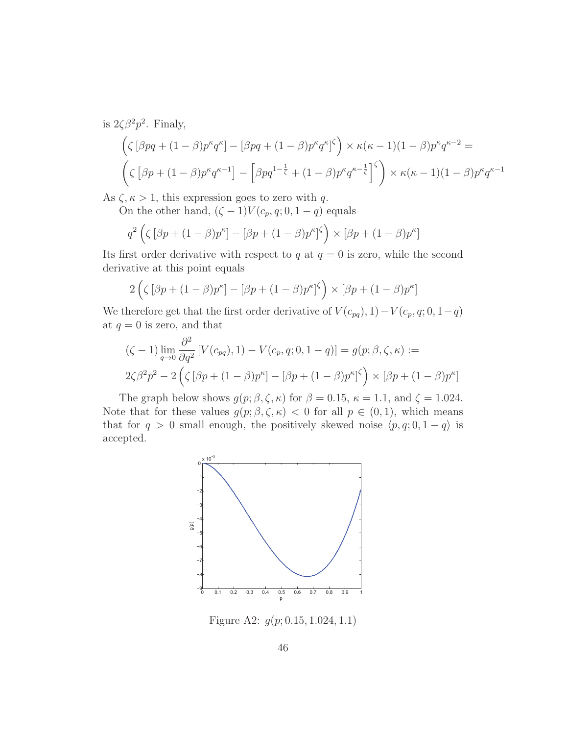is  $2\zeta\beta^2p^2$ . Finaly,

$$
\left(\zeta \left[\beta pq + (1-\beta)p^{\kappa}q^{\kappa}\right] - \left[\beta pq + (1-\beta)p^{\kappa}q^{\kappa}\right]^{\zeta}\right) \times \kappa(\kappa - 1)(1-\beta)p^{\kappa}q^{\kappa - 2} =
$$
  

$$
\left(\zeta \left[\beta p + (1-\beta)p^{\kappa}q^{\kappa - 1}\right] - \left[\beta pq^{1 - \frac{1}{\zeta}} + (1-\beta)p^{\kappa}q^{\kappa - \frac{1}{\zeta}}\right]^{\zeta}\right) \times \kappa(\kappa - 1)(1-\beta)p^{\kappa}q^{\kappa - 1}
$$

As  $\zeta, \kappa > 1$ , this expression goes to zero with q.

On the other hand,  $(\zeta - 1)V(c_p, q; 0, 1 - q)$  equals

$$
q^2\left(\zeta\left[\beta p + (1-\beta)p^\kappa\right] - \left[\beta p + (1-\beta)p^\kappa\right]^\zeta\right) \times \left[\beta p + (1-\beta)p^\kappa\right]
$$

Its first order derivative with respect to  $q$  at  $q = 0$  is zero, while the second derivative at this point equals

$$
2\left(\zeta\left[\beta p + (1-\beta)p^{\kappa}\right] - \left[\beta p + (1-\beta)p^{\kappa}\right]^{\zeta}\right) \times \left[\beta p + (1-\beta)p^{\kappa}\right]
$$

We therefore get that the first order derivative of  $V(c_{pq}), 1)-V(c_p, q; 0, 1-q)$ at  $q = 0$  is zero, and that

$$
(\zeta - 1) \lim_{q \to 0} \frac{\partial^2}{\partial q^2} \left[ V(c_{pq}), 1 \right] - V(c_p, q; 0, 1 - q) \right] = g(p; \beta, \zeta, \kappa) :=
$$
  

$$
2\zeta \beta^2 p^2 - 2 \left( \zeta \left[ \beta p + (1 - \beta) p^{\kappa} \right] - \left[ \beta p + (1 - \beta) p^{\kappa} \right] \zeta \right) \times \left[ \beta p + (1 - \beta) p^{\kappa} \right]
$$

The graph below shows  $g(p; \beta, \zeta, \kappa)$  for  $\beta = 0.15$ ,  $\kappa = 1.1$ , and  $\zeta = 1.024$ . Note that for these values  $g(p; \beta, \zeta, \kappa) < 0$  for all  $p \in (0, 1)$ , which means that for  $q > 0$  small enough, the positively skewed noise  $\langle p, q; 0, 1 - q \rangle$  is accepted.



Figure A2: g(p; 0.15, 1.024, 1.1)